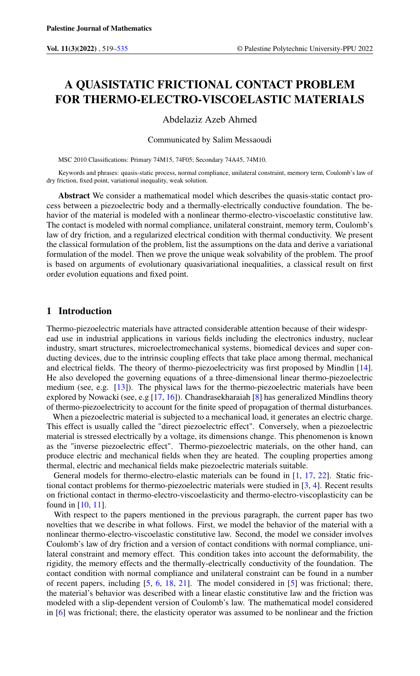# A QUASISTATIC FRICTIONAL CONTACT PROBLEM FOR THERMO-ELECTRO-VISCOELASTIC MATERIALS

Abdelaziz Azeb Ahmed

Communicated by Salim Messaoudi

MSC 2010 Classifications: Primary 74M15, 74F05; Secondary 74A45, 74M10.

Keywords and phrases: quasis-static process, normal compliance, unilateral constraint, memory term, Coulomb's law of dry friction, fixed point, variational inequality, weak solution.

Abstract We consider a mathematical model which describes the quasis-static contact process between a piezoelectric body and a thermally-electrically conductive foundation. The behavior of the material is modeled with a nonlinear thermo-electro-viscoelastic constitutive law. The contact is modeled with normal compliance, unilateral constraint, memory term, Coulomb's law of dry friction, and a regularized electrical condition with thermal conductivity. We present the classical formulation of the problem, list the assumptions on the data and derive a variational formulation of the model. Then we prove the unique weak solvability of the problem. The proof is based on arguments of evolutionary quasivariational inequalities, a classical result on first order evolution equations and fixed point.

## 1 Introduction

Thermo-piezoelectric materials have attracted considerable attention because of their widespread use in industrial applications in various fields including the electronics industry, nuclear industry, smart structures, microelectromechanical systems, biomedical devices and super conducting devices, due to the intrinsic coupling effects that take place among thermal, mechanical and electrical fields. The theory of thermo-piezoelectricity was first proposed by Mindlin [\[14\]](#page-16-0). He also developed the governing equations of a three-dimensional linear thermo-piezoelectric medium (see, e.g. [\[13\]](#page-16-1)). The physical laws for the thermo-piezoelectric materials have been explored by Nowacki (see, e.g [\[17,](#page-16-2) [16\]](#page-16-3)). Chandrasekharaiah [\[8\]](#page-16-4) has generalized Mindlins theory of thermo-piezoelectricity to account for the finite speed of propagation of thermal disturbances.

When a piezoelectric material is subjected to a mechanical load, it generates an electric charge. This effect is usually called the "direct piezoelectric effect". Conversely, when a piezoelectric material is stressed electrically by a voltage, its dimensions change. This phenomenon is known as the "inverse piezoelectric effect". Thermo-piezoelectric materials, on the other hand, can produce electric and mechanical fields when they are heated. The coupling properties among thermal, electric and mechanical fields make piezoelectric materials suitable.

General models for thermo-electro-elastic materials can be found in [\[1,](#page-15-1) [17,](#page-16-2) [22\]](#page-16-5). Static frictional contact problems for thermo-piezoelectric materials were studied in [\[3,](#page-15-2) [4\]](#page-15-3). Recent results on frictional contact in thermo-electro-viscoelasticity and thermo-electro-viscoplasticity can be found in [\[10,](#page-16-6) [11\]](#page-16-7).

With respect to the papers mentioned in the previous paragraph, the current paper has two novelties that we describe in what follows. First, we model the behavior of the material with a nonlinear thermo-electro-viscoelastic constitutive law. Second, the model we consider involves Coulomb's law of dry friction and a version of contact conditions with normal compliance, unilateral constraint and memory effect. This condition takes into account the deformability, the rigidity, the memory effects and the thermally-electrically conductivity of the foundation. The contact condition with normal compliance and unilateral constraint can be found in a number of recent papers, including [\[5,](#page-16-8) [6,](#page-16-9) [18,](#page-16-10) [21\]](#page-16-11). The model considered in [\[5\]](#page-16-8) was frictional; there, the material's behavior was described with a linear elastic constitutive law and the friction was modeled with a slip-dependent version of Coulomb's law. The mathematical model considered in [\[6\]](#page-16-9) was frictional; there, the elasticity operator was assumed to be nonlinear and the friction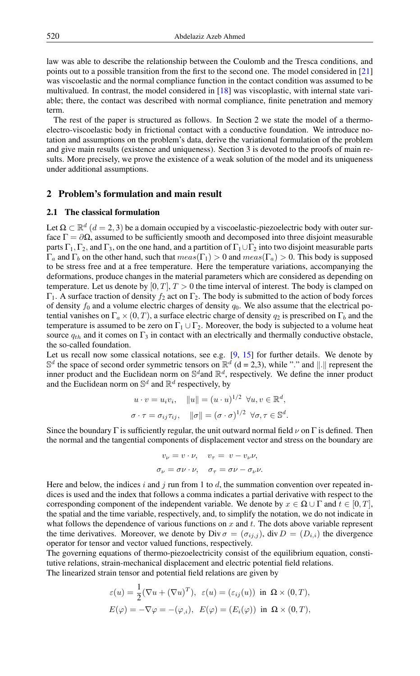law was able to describe the relationship between the Coulomb and the Tresca conditions, and points out to a possible transition from the first to the second one. The model considered in [\[21\]](#page-16-11) was viscoelastic and the normal compliance function in the contact condition was assumed to be multivalued. In contrast, the model considered in [\[18\]](#page-16-10) was viscoplastic, with internal state variable; there, the contact was described with normal compliance, finite penetration and memory term.

The rest of the paper is structured as follows. In Section 2 we state the model of a thermoelectro-viscoelastic body in frictional contact with a conductive foundation. We introduce notation and assumptions on the problem's data, derive the variational formulation of the problem and give main results (existence and uniqueness). Section 3 is devoted to the proofs of main results. More precisely, we prove the existence of a weak solution of the model and its uniqueness under additional assumptions.

## 2 Problem's formulation and main result

#### 2.1 The classical formulation

Let  $\Omega \subset \mathbb{R}^d$   $(d = 2, 3)$  be a domain occupied by a viscoelastic-piezoelectric body with outer surface  $\Gamma = \partial \Omega$ , assumed to be sufficiently smooth and decomposed into three disjoint measurable parts  $\Gamma_1$ ,  $\Gamma_2$ , and  $\Gamma_3$ , on the one hand, and a partition of  $\Gamma_1 \cup \Gamma_2$  into two disjoint measurable parts  $\Gamma_a$  and  $\Gamma_b$  on the other hand, such that  $meas(\Gamma_1) > 0$  and  $meas(\Gamma_a) > 0$ . This body is supposed to be stress free and at a free temperature. Here the temperature variations, accompanying the deformations, produce changes in the material parameters which are considered as depending on temperature. Let us denote by [0, T],  $T > 0$  the time interval of interest. The body is clamped on  $Γ_1$ . A surface traction of density  $f_2$  act on  $Γ_2$ . The body is submitted to the action of body forces of density  $f_0$  and a volume electric charges of density  $q_0$ . We also assume that the electrical potential vanishes on  $\Gamma_a \times (0, T)$ , a surface electric charge of density  $q_2$  is prescribed on  $\Gamma_b$  and the temperature is assumed to be zero on  $\Gamma_1 \cup \Gamma_2$ . Moreover, the body is subjected to a volume heat source  $q_{th}$  and it comes on  $\Gamma_3$  in contact with an electrically and thermally conductive obstacle, the so-called foundation.

Let us recall now some classical notations, see e.g.  $[9, 15]$  $[9, 15]$  $[9, 15]$  for further details. We denote by  $\mathbb{S}^d$  the space of second order symmetric tensors on  $\mathbb{R}^d$  (d = 2,3), while "." and ||.|| represent the inner product and the Euclidean norm on  $\mathbb{S}^d$  and  $\mathbb{R}^d$ , respectively. We define the inner product and the Euclidean norm on  $\mathbb{S}^d$  and  $\mathbb{R}^d$  respectively, by

$$
u \cdot v = u_i v_i, \quad ||u|| = (u \cdot u)^{1/2} \quad \forall u, v \in \mathbb{R}^d,
$$
  

$$
\sigma \cdot \tau = \sigma_{ij} \tau_{ij}, \quad ||\sigma|| = (\sigma \cdot \sigma)^{1/2} \quad \forall \sigma, \tau \in \mathbb{S}^d.
$$

Since the boundary Γ is sufficiently regular, the unit outward normal field  $\nu$  on Γ is defined. Then the normal and the tangential components of displacement vector and stress on the boundary are

$$
v_{\nu} = v \cdot \nu, \quad v_{\tau} = v - v_{\nu} \nu,
$$
  

$$
\sigma_{\nu} = \sigma \nu \cdot \nu, \quad \sigma_{\tau} = \sigma \nu - \sigma_{\nu} \nu.
$$

Here and below, the indices i and j run from 1 to d, the summation convention over repeated indices is used and the index that follows a comma indicates a partial derivative with respect to the corresponding component of the independent variable. We denote by  $x \in \Omega \cup \Gamma$  and  $t \in [0, T]$ , the spatial and the time variable, respectively, and, to simplify the notation, we do not indicate in what follows the dependence of various functions on  $x$  and  $t$ . The dots above variable represent the time derivatives. Moreover, we denote by Div  $\sigma = (\sigma_{i,j})$ , div  $D = (D_{i,j})$  the divergence operator for tensor and vector valued functions, respectively.

The governing equations of thermo-piezoelectricity consist of the equilibrium equation, constitutive relations, strain-mechanical displacement and electric potential field relations. The linearized strain tensor and potential field relations are given by

$$
\varepsilon(u) = \frac{1}{2}(\nabla u + (\nabla u)^T), \ \varepsilon(u) = (\varepsilon_{ij}(u)) \ \text{in} \ \Omega \times (0,T),
$$

$$
E(\varphi) = -\nabla \varphi = -(\varphi_{,i}), \ \ E(\varphi) = (E_i(\varphi)) \ \text{ in } \ \Omega \times (0,T),
$$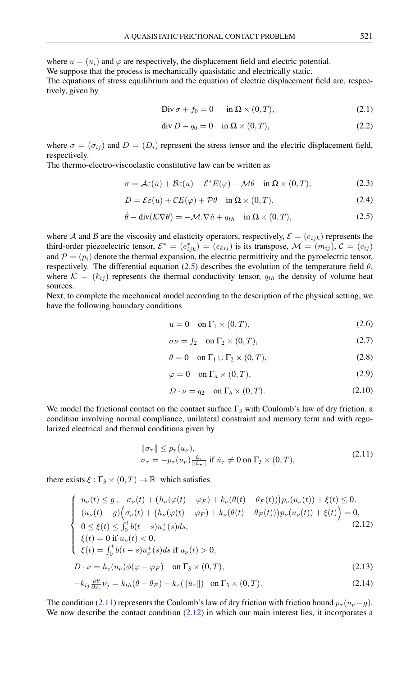where  $u = (u_i)$  and  $\varphi$  are respectively, the displacement field and electric potential.

We suppose that the process is mechanically quasistatic and electrically static.

The equations of stress equilibrium and the equation of electric displacement field are, respectively, given by

<span id="page-2-3"></span>
$$
\text{Div}\,\sigma + f_0 = 0 \qquad \text{in}\ \Omega \times (0,T), \tag{2.1}
$$

$$
\operatorname{div} D - q_0 = 0 \quad \text{in } \Omega \times (0, T), \tag{2.2}
$$

where  $\sigma = (\sigma_{ij})$  and  $D = (D_i)$  represent the stress tensor and the electric displacement field, respectively.

The thermo-electro-viscoelastic constitutive law can be written as

<span id="page-2-0"></span>
$$
\sigma = \mathcal{A}\varepsilon(\dot{u}) + \mathcal{B}\varepsilon(u) - \mathcal{E}^* E(\varphi) - \mathcal{M}\theta \quad \text{in } \Omega \times (0, T), \tag{2.3}
$$

$$
D = \mathcal{E}\varepsilon(u) + \mathcal{C}E(\varphi) + \mathcal{P}\theta \quad \text{in } \Omega \times (0, T), \tag{2.4}
$$

$$
\dot{\theta} - \text{div}(\mathcal{K}\nabla\theta) = -\mathcal{M}\cdot\nabla\dot{u} + q_{th} \quad \text{in } \Omega \times (0, T), \tag{2.5}
$$

where A and B are the viscosity and elasticity operators, respectively,  $\mathcal{E} = (e_{ijk})$  represents the third-order piezoelectric tensor,  $\mathcal{E}^* = (e_{ijk}^*) = (e_{kij})$  is its transpose,  $\mathcal{M} = (m_{ij})$ ,  $\mathcal{C} = (c_{ij})$ and  $\mathcal{P} = (p_i)$  denote the thermal expansion, the electric permittivity and the pyroelectric tensor, respectively. The differential equation [\(2.5\)](#page-2-0) describes the evolution of the temperature field  $\theta$ , where  $\mathcal{K} = (k_{ij})$  represents the thermal conductivity tensor,  $q_{th}$  the density of volume heat sources.

Next, to complete the mechanical model according to the description of the physical setting, we have the following boundary conditions

$$
u = 0 \quad \text{on } \Gamma_1 \times (0, T), \tag{2.6}
$$

$$
\sigma \nu = f_2 \quad \text{on } \Gamma_2 \times (0, T), \tag{2.7}
$$

$$
\theta = 0 \quad \text{on } \Gamma_1 \cup \Gamma_2 \times (0, T), \tag{2.8}
$$

$$
\varphi = 0 \quad \text{on } \Gamma_a \times (0, T), \tag{2.9}
$$

$$
D \cdot \nu = q_2 \quad \text{on } \Gamma_b \times (0, T). \tag{2.10}
$$

We model the frictional contact on the contact surface  $\Gamma_3$  with Coulomb's law of dry friction, a condition involving normal compliance, unilateral constraint and memory term and with regularized electrical and thermal conditions given by

<span id="page-2-1"></span>
$$
\|\sigma_{\tau}\| \le p_{\tau}(u_{\nu}),
$$
  
\n
$$
\sigma_{\tau} = -p_{\tau}(u_{\nu}) \frac{\dot{u}_{\tau}}{\|\dot{u}_{\tau}\|} \text{ if } \dot{u}_{\tau} \ne 0 \text{ on } \Gamma_3 \times (0, T),
$$
\n(2.11)

there exists  $\xi : \Gamma_3 \times (0,T) \to \mathbb{R}$  which satisfies

<span id="page-2-2"></span>
$$
\begin{cases}\nu_{\nu}(t) \leq g, & \sigma_{\nu}(t) + (h_{\nu}(\varphi(t) - \varphi_F) + k_{\nu}(\theta(t) - \theta_F(t)))p_{\nu}(u_{\nu}(t)) + \xi(t) \leq 0, \\
(u_{\nu}(t) - g)\Big(\sigma_{\nu}(t) + (h_{\nu}(\varphi(t) - \varphi_F) + k_{\nu}(\theta(t) - \theta_F(t)))p_{\nu}(u_{\nu}(t)) + \xi(t)\Big) = 0, \\
0 \leq \xi(t) \leq \int_0^t b(t - s)u_{\nu}^+(s)ds, \\
\xi(t) = 0 \text{ if } u_{\nu}(t) < 0, \\
\xi(t) = \int_0^t b(t - s)u_{\nu}^+(s)ds \text{ if } u_{\nu}(t) > 0, \\
D \cdot \nu = h_e(u_{\nu})\phi(\varphi - \varphi_F) \quad \text{on } \Gamma_3 \times (0, T),\n\end{cases} \tag{2.13}
$$

$$
-k_{ij}\frac{\partial\theta}{\partial x_i}\nu_j = k_{th}(\theta - \theta_F) - k_{\tau}(\|\dot{u}_{\tau}\|) \quad \text{on } \Gamma_3 \times (0, T). \tag{2.14}
$$

The condition [\(2.11\)](#page-2-1) represents the Coulomb's law of dry friction with friction bound  $p_{\tau}(u_{\nu}-g)$ . We now describe the contact condition  $(2.12)$  in which our main interest lies, it incorporates a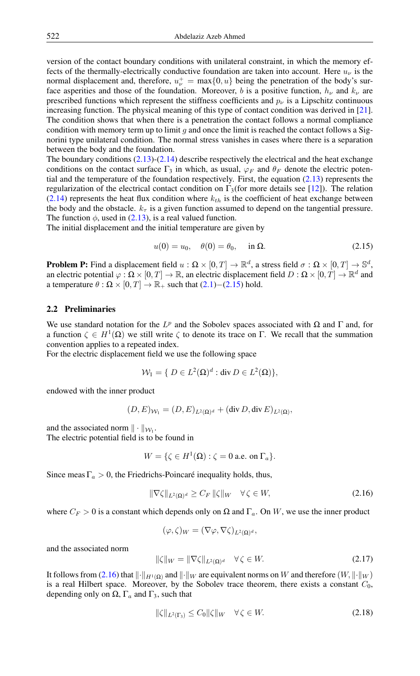version of the contact boundary conditions with unilateral constraint, in which the memory effects of the thermally-electrically conductive foundation are taken into account. Here  $u_{\nu}$  is the normal displacement and, therefore,  $u_{\nu}^{+} = \max\{0, u\}$  being the penetration of the body's surface asperities and those of the foundation. Moreover, b is a positive function,  $h_{\nu}$  and  $k_{\nu}$  are prescribed functions which represent the stiffness coefficients and  $p_{\nu}$  is a Lipschitz continuous increasing function. The physical meaning of this type of contact condition was derived in [\[21\]](#page-16-11). The condition shows that when there is a penetration the contact follows a normal compliance condition with memory term up to limit g and once the limit is reached the contact follows a Signorini type unilateral condition. The normal stress vanishes in cases where there is a separation between the body and the foundation.

The boundary conditions  $(2.13)-(2.14)$  $(2.13)-(2.14)$  $(2.13)-(2.14)$  describe respectively the electrical and the heat exchange conditions on the contact surface  $\Gamma_3$  in which, as usual,  $\varphi_F$  and  $\theta_F$  denote the electric potential and the temperature of the foundation respectively. First, the equation [\(2.13\)](#page-2-2) represents the regularization of the electrical contact condition on  $\Gamma_3$ (for more details see [\[12\]](#page-16-14)). The relation  $(2.14)$  represents the heat flux condition where  $k_{th}$  is the coefficient of heat exchange between the body and the obstacle.  $k<sub>\tau</sub>$  is a given function assumed to depend on the tangential pressure. The function  $\phi$ , used in [\(2.13\)](#page-2-2), is a real valued function.

The initial displacement and the initial temperature are given by

<span id="page-3-0"></span>
$$
u(0) = u_0, \quad \theta(0) = \theta_0, \quad \text{in } \Omega.
$$
 (2.15)

**Problem P:** Find a displacement field  $u : \Omega \times [0,T] \to \mathbb{R}^d$ , a stress field  $\sigma : \Omega \times [0,T] \to \mathbb{S}^d$ , an electric potential  $\varphi : \Omega \times [0,T] \to \mathbb{R}$ , an electric displacement field  $D : \Omega \times [0,T] \to \mathbb{R}^d$  and a temperature  $\theta$  :  $\Omega \times [0, T] \rightarrow \mathbb{R}_+$  such that  $(2.1)$ – $(2.15)$  hold.

#### 2.2 Preliminaries

We use standard notation for the  $L^p$  and the Sobolev spaces associated with  $\Omega$  and  $\Gamma$  and, for a function  $\zeta \in H^1(\Omega)$  we still write  $\zeta$  to denote its trace on  $\Gamma$ . We recall that the summation convention applies to a repeated index.

For the electric displacement field we use the following space

$$
\mathcal{W}_1 = \{ D \in L^2(\Omega)^d : \text{div}\, D \in L^2(\Omega) \},
$$

endowed with the inner product

$$
(D,E)_{\mathcal{W}_1}=(D,E)_{L^2(\Omega)^d}+(\operatorname{div} D,\operatorname{div} E)_{L^2(\Omega)},
$$

and the associated norm  $\|\cdot\|_{\mathcal{W}_1}$ .

The electric potential field is to be found in

$$
W = \{ \zeta \in H^1(\Omega) : \zeta = 0 \text{ a.e. on } \Gamma_a \}.
$$

Since meas  $\Gamma_a > 0$ , the Friedrichs-Poincaré inequality holds, thus,

<span id="page-3-1"></span>
$$
\|\nabla \zeta\|_{L^2(\Omega)^d} \ge C_F \|\zeta\|_W \quad \forall \zeta \in W,\tag{2.16}
$$

where  $C_F > 0$  is a constant which depends only on  $\Omega$  and  $\Gamma_a$ . On W, we use the inner product

$$
(\varphi,\zeta)_W = (\nabla \varphi, \nabla \zeta)_{L^2(\Omega)^d},
$$

and the associated norm

<span id="page-3-3"></span>
$$
\|\zeta\|_{W} = \|\nabla \zeta\|_{L^{2}(\Omega)^{d}} \quad \forall \zeta \in W. \tag{2.17}
$$

It follows from [\(2.16\)](#page-3-1) that  $\|\cdot\|_{H^1(\Omega)}$  and  $\|\cdot\|_W$  are equivalent norms on W and therefore  $(W, \|\cdot\|_W)$ is a real Hilbert space. Moreover, by the Sobolev trace theorem, there exists a constant  $C_0$ , depending only on  $\Omega$ ,  $\Gamma_a$  and  $\Gamma_3$ , such that

<span id="page-3-2"></span>
$$
\|\zeta\|_{L^2(\Gamma_3)} \le C_0 \|\zeta\|_W \quad \forall \zeta \in W. \tag{2.18}
$$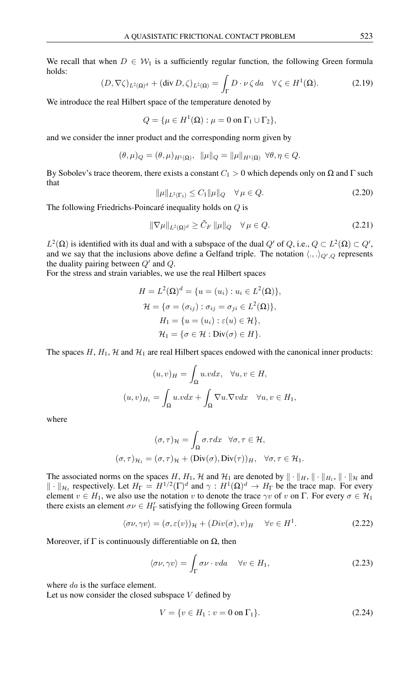<span id="page-4-1"></span>We recall that when  $D \in \mathcal{W}_1$  is a sufficiently regular function, the following Green formula holds:

$$
(D, \nabla \zeta)_{L^2(\Omega)^d} + (\text{div } D, \zeta)_{L^2(\Omega)} = \int_{\Gamma} D \cdot \nu \zeta \, da \quad \forall \zeta \in H^1(\Omega). \tag{2.19}
$$

We introduce the real Hilbert space of the temperature denoted by

$$
Q = \{\mu \in H^1(\Omega) : \mu = 0 \text{ on } \Gamma_1 \cup \Gamma_2\},\
$$

and we consider the inner product and the corresponding norm given by

$$
(\theta,\mu)_{Q}=(\theta,\mu)_{H^1(\Omega)},\ \ \|\mu\|_{Q}=\|\mu\|_{H^1(\Omega)}\ \ \forall \theta,\eta\in Q.
$$

<span id="page-4-2"></span>By Sobolev's trace theorem, there exists a constant  $C_1 > 0$  which depends only on  $\Omega$  and  $\Gamma$  such that

$$
\|\mu\|_{L^2(\Gamma_3)} \le C_1 \|\mu\|_Q \quad \forall \, \mu \in Q. \tag{2.20}
$$

The following Friedrichs-Poincaré inequality holds on Q is

$$
\|\nabla \mu\|_{L^2(\Omega)^d} \ge \tilde{C}_F \|\mu\|_Q \quad \forall \mu \in Q. \tag{2.21}
$$

 $L^2(\Omega)$  is identified with its dual and with a subspace of the dual  $Q'$  of  $Q$ , i.e.,  $Q \subset L^2(\Omega) \subset Q'$ , and we say that the inclusions above define a Gelfand triple. The notation  $\langle ., . \rangle_{Q',Q}$  represents the duality pairing between  $Q'$  and  $Q$ .

For the stress and strain variables, we use the real Hilbert spaces

$$
H = L2(\Omega)d = \{u = (ui) : ui \in L2(\Omega)\},
$$
  
\n
$$
\mathcal{H} = \{\sigma = (\sigma_{ij}) : \sigma_{ij} = \sigma_{ji} \in L2(\Omega)\},
$$
  
\n
$$
H1 = \{u = (ui) : \varepsilon(u) \in \mathcal{H}\},
$$
  
\n
$$
\mathcal{H}1 = \{\sigma \in \mathcal{H} : \text{Div}(\sigma) \in H\}.
$$

The spaces  $H$ ,  $H_1$ ,  $H$  and  $H_1$  are real Hilbert spaces endowed with the canonical inner products:

$$
(u, v)_H = \int_{\Omega} u.v dx, \quad \forall u, v \in H,
$$

$$
(u, v)_{H_1} = \int_{\Omega} u.v dx + \int_{\Omega} \nabla u.\nabla v dx \quad \forall u, v \in H_1,
$$

where

$$
(\sigma, \tau)_{\mathcal{H}} = \int_{\Omega} \sigma \tau dx \quad \forall \sigma, \tau \in \mathcal{H},
$$

$$
(\sigma, \tau)_{\mathcal{H}_1} = (\sigma, \tau)_{\mathcal{H}} + (\text{Div}(\sigma), \text{Div}(\tau))_{H}, \quad \forall \sigma, \tau \in \mathcal{H}_1.
$$

The associated norms on the spaces H,  $H_1$ , H and  $H_1$  are denoted by  $\|\cdot\|_H$ ,  $\|\cdot\|_H$ ,  $\|\cdot\|_{\mathcal{H}}$  and  $\|\cdot\|_{\mathcal{H}_1}$  respectively. Let  $H_{\Gamma} = H^{1/2}(\Gamma)^d$  and  $\gamma: H^1(\Omega)^d \to H_{\Gamma}$  be the trace map. For every element  $v \in H_1$ , we also use the notation v to denote the trace  $\gamma v$  of v on  $\Gamma$ . For every  $\sigma \in H_1$ there exists an element  $\sigma \nu \in H_{\Gamma}'$  satisfying the following Green formula

$$
\langle \sigma \nu, \gamma \nu \rangle = (\sigma, \varepsilon(\nu))_{\mathcal{H}} + (Div(\sigma), v)_{H} \quad \forall \nu \in H^{1}.
$$
 (2.22)

Moreover, if  $\Gamma$  is continuously differentiable on  $\Omega$ , then

<span id="page-4-0"></span>
$$
\langle \sigma \nu, \gamma \nu \rangle = \int_{\Gamma} \sigma \nu \cdot v da \quad \forall \nu \in H_1,\tag{2.23}
$$

where da is the surface element.

Let us now consider the closed subspace  $V$  defined by

$$
V = \{ v \in H_1 : v = 0 \text{ on } \Gamma_1 \}. \tag{2.24}
$$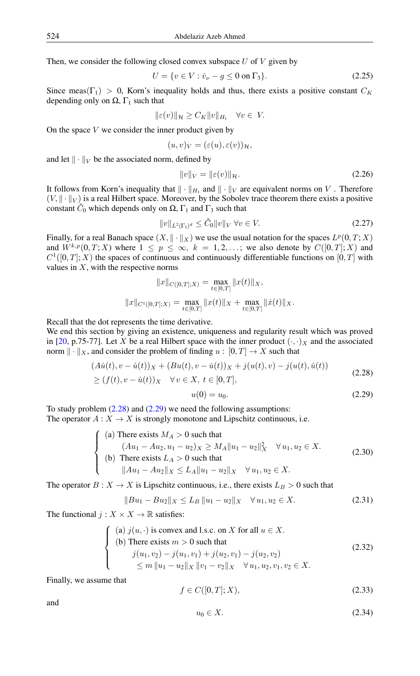Then, we consider the following closed convex subspace  $U$  of  $V$  given by

<span id="page-5-4"></span>
$$
U = \{ v \in V : \dot{v}_{\nu} - g \le 0 \text{ on } \Gamma_3 \}. \tag{2.25}
$$

Since meas( $\Gamma_1$ ) > 0, Korn's inequality holds and thus, there exists a positive constant  $C_K$ depending only on  $\Omega$ ,  $\Gamma_1$  such that

$$
\|\varepsilon(v)\|_{\mathcal{H}} \ge C_K \|v\|_{H_1} \quad \forall v \in V.
$$

On the space  $V$  we consider the inner product given by

$$
(u,v)_V = (\varepsilon(u), \varepsilon(v))_{\mathcal{H}},
$$

and let  $\|\cdot\|_V$  be the associated norm, defined by

<span id="page-5-9"></span><span id="page-5-6"></span>
$$
||v||_V = ||\varepsilon(v)||_{\mathcal{H}}.\tag{2.26}
$$

It follows from Korn's inequality that  $\|\cdot\|_{H_1}$  and  $\|\cdot\|_V$  are equivalent norms on V. Therefore  $(V, \|\cdot\|_V)$  is a real Hilbert space. Moreover, by the Sobolev trace theorem there exists a positive constant  $\tilde{C}_0$  which depends only on  $\Omega$ ,  $\Gamma_1$  and  $\Gamma_3$  such that

$$
||v||_{L^{2}(\Gamma_{3})^{d}} \leq \tilde{C}_{0}||v||_{V} \,\forall v \in V. \tag{2.27}
$$

Finally, for a real Banach space  $(X, \|\cdot\|_X)$  we use the usual notation for the spaces  $L^p(0,T;X)$ and  $W^{k,p}(0,T;X)$  where  $1 \leq p \leq \infty$ ,  $k = 1,2,...$ ; we also denote by  $C([0,T];X)$  and  $C^1([0,T];X)$  the spaces of continuous and continuously differentiable functions on  $[0,T]$  with values in  $X$ , with the respective norms

$$
||x||_{C([0,T];X)} = \max_{t \in [0,T]} ||x(t)||_X,
$$
  

$$
||x||_{C^{1}([0,T];X)} = \max_{t \in [0,T]} ||x(t)||_X + \max_{t \in [0,T]} ||\dot{x}(t)||_X.
$$

Recall that the dot represents the time derivative.

We end this section by giving an existence, uniqueness and regularity result which was proved in [\[20,](#page-16-15) p.75-77]. Let X be a real Hilbert space with the inner product  $(\cdot, \cdot)_X$  and the associated norm  $\| \cdot \|_X$ , and consider the problem of finding  $u : [0, T] \rightarrow X$  such that

$$
(A\dot{u}(t), v - \dot{u}(t))_X + (Bu(t), v - \dot{u}(t))_X + j(u(t), v) - j(u(t), \dot{u}(t))
$$
\n(2.28)

$$
\geq (f(t), v - \dot{u}(t))_X \quad \forall v \in X, \ t \in [0, T],
$$

<span id="page-5-5"></span><span id="page-5-2"></span><span id="page-5-1"></span><span id="page-5-0"></span>
$$
u(0) = u_0. \t\t(2.29)
$$

To study problem  $(2.28)$  and  $(2.29)$  we need the following assumptions: The operator  $A: X \to X$  is strongly monotone and Lipschitz continuous, i.e.

(a) There exists 
$$
M_A > 0
$$
 such that  
\n
$$
(Au_1 - Au_2, u_1 - u_2)_X \ge M_A ||u_1 - u_2||_X^2 \quad \forall u_1, u_2 \in X.
$$
\n(b) There exists  $L_A > 0$  such that  
\n $||Au_1 - Au_2||_X \le L_A ||u_1 - u_2||_X \quad \forall u_1, u_2 \in X.$  (2.30)

The operator  $B: X \to X$  is Lipschitz continuous, i.e., there exists  $L_B > 0$  such that

<span id="page-5-7"></span>
$$
||Bu_1 - Bu_2||_X \le L_B ||u_1 - u_2||_X \quad \forall u_1, u_2 \in X.
$$
 (2.31)

The functional  $j: X \times X \to \mathbb{R}$  satisfies:

<span id="page-5-8"></span>(a) 
$$
j(u, \cdot)
$$
 is convex and l.s.c. on X for all  $u \in X$ .  
\n(b) There exists  $m > 0$  such that  
\n
$$
j(u_1, v_2) - j(u_1, v_1) + j(u_2, v_1) - j(u_2, v_2)
$$
\n
$$
\le m ||u_1 - u_2||_X ||v_1 - v_2||_X \quad \forall u_1, u_2, v_1, v_2 \in X.
$$
\n(2.32)

Finally, we assume that

$$
f \in C([0, T]; X), \tag{2.33}
$$

<span id="page-5-3"></span>and

$$
u_0 \in X. \tag{2.34}
$$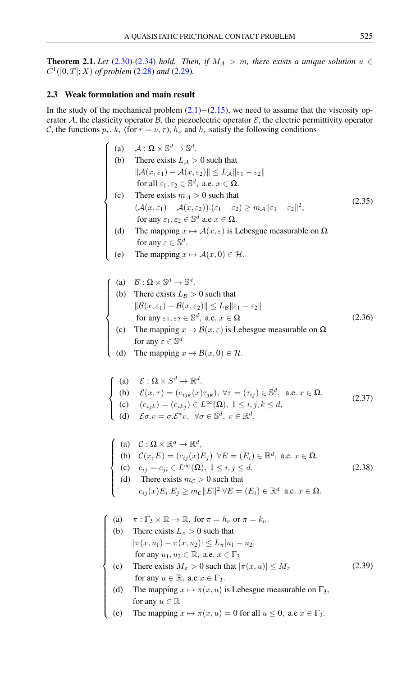<span id="page-6-2"></span>**Theorem 2.1.** *Let* [\(2.30\)](#page-5-2)-[\(2.34\)](#page-5-3) *hold. Then, if*  $M_A > m$ *, there exists a unique solution*  $u \in$  $C^1([0, T]; X)$  *of problem* [\(2.28\)](#page-5-0) *and* [\(2.29\)](#page-5-1)*.* 

#### 2.3 Weak formulation and main result

In the study of the mechanical problem  $(2.1)$ − $(2.15)$ , we need to assume that the viscosity operator A, the elasticity operator B, the piezoelectric operator  $\mathcal{E}$ , the electric permittivity operator C, the functions  $p_r$ ,  $k_r$  (for  $r = \nu, \tau$ ),  $h_{\nu}$  and  $h_e$  satisfy the following conditions

- $\int$  (a)  $\mathcal{A} : \Omega \times \mathbb{S}$  $d \to \mathbb{S}^d$ .
	- (b) There exists  $L_A > 0$  such that  $\|\mathcal{A}(x,\varepsilon_1)-\mathcal{A}(x,\varepsilon_2)\|\leq L_{\mathcal{A}}\|\varepsilon_1-\varepsilon_2\|$ for all  $\varepsilon_1, \varepsilon_2 \in \mathbb{S}^d$ , a.e.  $x \in \Omega$ .
- <span id="page-6-1"></span> $\begin{array}{c} \hline \end{array}$  $\begin{array}{c} \hline \end{array}$ (c) There exists  $m_A > 0$  such that  $(\mathcal{A}(x,\varepsilon_1)-\mathcal{A}(x,\varepsilon_2)).(\varepsilon_1-\varepsilon_2)\geq m_{\mathcal{A}}||\varepsilon_1-\varepsilon_2||^2,$ for any  $\varepsilon_1, \varepsilon_2 \in \mathbb{S}^d$  a.e  $x \in \Omega$ . (2.35)
	- (d) The mapping  $x \mapsto A(x, \varepsilon)$  is Lebesgue measurable on  $\Omega$ for any  $\varepsilon \in \mathbb{S}^d$ .
	- The mapping  $x \mapsto \mathcal{A}(x, 0) \in \mathcal{H}$ .
- $\sqrt{ }$ (a)  $\mathcal{B}: \Omega \times \mathbb{S}^d \to \mathbb{S}^d$ .
- (b) There exists  $L_B > 0$  such that<br>  $||B(x, \varepsilon_1) B(x, \varepsilon_2)|| \le L_B ||\varepsilon$ <br>
for any  $\varepsilon_1 \varepsilon_2 \in \mathbb{S}^d$  a.e.  $x \in \mathbb{S}$  $\|\mathcal{B}(x,\varepsilon_1)-\mathcal{B}(x,\varepsilon_2)\|\leq L_{\mathcal{B}}\|\varepsilon_1-\varepsilon_2\|$ for any  $\varepsilon_1, \varepsilon_2 \in \mathbb{S}^d$ , a.e.  $x \in \Omega$ (2.36)
	- (c) The mapping  $x \mapsto \mathcal{B}(x, \varepsilon)$  is Lebesgue measurable on  $\Omega$ for any  $\varepsilon \in \mathbb{S}^d$
- <span id="page-6-3"></span> $\Bigg\}$ (d) The mapping  $x \mapsto \mathcal{B}(x, 0) \in \mathcal{H}$ .

(a) 
$$
\mathcal{E}: \Omega \times S^d \to \mathbb{R}^d
$$
.  
\n(b)  $\mathcal{E}(x,\tau) = (e_{ijk}(x)\tau_{jk}), \forall \tau = (\tau_{ij}) \in \mathbb{S}^d$ , a.e.  $x \in \Omega$ ,  
\n(c)  $(e_{ijk}) = (e_{ikj}) \in L^{\infty}(\Omega), 1 \le i, j, k \le d$ , (2.37)

<span id="page-6-4"></span>(d)  $\mathcal{E}\sigma.v = \sigma.\mathcal{E}^*v$ ,  $\forall \sigma \in \mathbb{S}^d$ ,  $v \in \mathbb{R}^d$ .

<span id="page-6-0"></span>
$$
\begin{cases}\n(a) & \mathcal{C} : \Omega \times \mathbb{R}^d \to \mathbb{R}^d, \\
(b) & \mathcal{C}(x, E) = (c_{ij}(x)E_j) \ \forall E = (E_i) \in \mathbb{R}^d, \text{ a.e. } x \in \Omega. \\
(c) & c_{ij} = c_{ji} \in L^{\infty}(\Omega), \ 1 \le i, j \le d. \\
(d) & \text{There exists } m_{\mathcal{C}} > 0 \text{ such that} \\
& c_{ij}(x)E_i.E_j \ge m_{\mathcal{C}} ||E||^2 \ \forall E = (E_i) \in \mathbb{R}^d \text{ a.e. } x \in \Omega.\n\end{cases}
$$
\n(2.38)

(a) 
$$
\pi : \Gamma_3 \times \mathbb{R} \to \mathbb{R}
$$
, for  $\pi = h_\nu$  or  $\pi = k_\nu$ .  
\n(b) There exists  $L_\pi > 0$  such that  
\n $|\pi(x, u_1) - \pi(x, u_2)| \le L_\pi |u_1 - u_2|$   
\nfor any  $u_1, u_2 \in \mathbb{R}$ , a.e.  $x \in \Gamma_3$   
\n(c) There exists  $M_\pi > 0$  such that  $|\pi(x, u)| \le M_\pi$   
\nfor any  $u \in \mathbb{R}$ , a.e.  $x \in \Gamma_3$ .  
\n(d) The mapping  $x \mapsto \pi(x, u)$  is Lebesgue measurable on  $\Gamma_3$ ,  
\nfor any  $u \in \mathbb{R}$   
\n(e) The mapping  $x \mapsto \pi(x, u) = 0$  for all  $u \le 0$ , a.e.  $x \in \Gamma_3$ .

<span id="page-6-5"></span>(a) The mapping 
$$
x \mapsto \pi(x, u)
$$
 is Lebesgue measurable on 1<sub>3</sub> for any  $u \in \mathbb{R}$ 

(e) The mapping  $x \mapsto \pi(x, u) = 0$  for all  $u \le 0$ , a.e  $x \in \Gamma_3$ .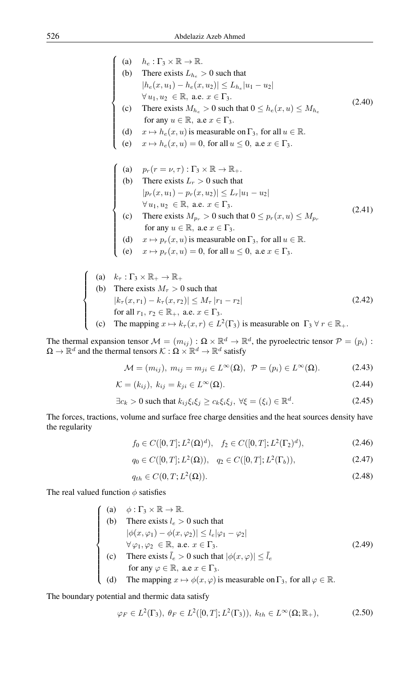<span id="page-7-1"></span>(a) 
$$
h_e : \Gamma_3 \times \mathbb{R} \to \mathbb{R}
$$
.  
\n(b) There exists  $L_{h_e} > 0$  such that  
\n $|h_e(x, u_1) - h_e(x, u_2)| \le L_{h_e}|u_1 - u_2|$   
\n $\forall u_1, u_2 \in \mathbb{R}$ , a.e.  $x \in \Gamma_3$ .  
\n(c) There exists  $M_{h_e} > 0$  such that  $0 \le h_e(x, u) \le M_{h_e}$   
\nfor any  $u \in \mathbb{R}$ , a.e.  $x \in \Gamma_3$ .  
\n(d)  $x \mapsto h_e(x, u)$  is measurable on  $\Gamma_3$ , for all  $u \in \mathbb{R}$ .  
\n(e)  $x \mapsto h_e(x, u) = 0$ , for all  $u \le 0$ , a.e.  $x \in \Gamma_3$ .  
\n(f) There exists  $L_r > 0$  such that  
\n $|p_r(x, u_1) - p_r(x, u_2)| \le L_r |u_1 - u_2|$   
\n $\forall u_1, u_2 \in \mathbb{R}$ , a.e.  $x \in \Gamma_3$ .  
\n(c) There exists  $M_{p_r} > 0$  such that  $0 \le p_r(x, u) \le M_{p_r}$   
\nfor any  $u \in \mathbb{R}$ , a.e.  $x \in \Gamma_3$ .  
\n(d)  $x \mapsto p_r(x, u)$  is measurable on  $\Gamma_3$ , for all  $u \in \mathbb{R}$ .  
\n(e)  $x \mapsto p_r(x, u) = 0$ , for all  $u \le 0$ , a.e.  $x \in \Gamma_3$ .  
\n(a)  $k_r : \Gamma_3 \times \mathbb{R}_+ \to \mathbb{R}_+$   
\n(b) There exists  $M_r > 0$  such that  
\n $|k_r(x, r_1) - k_r(x, r_2)| \le M_r |r_1 - r_2|$   
\nfor all  $r_1, r_2 \in \mathbb{R}_+$ , a.e.  $x \in \Gamma_3$ .  
\n(2.42)

(c) The mapping 
$$
x \mapsto k_\tau(x, r) \in L^2(\Gamma_3)
$$
 is measurable on  $\Gamma_3 \forall r \in \mathbb{R}_+$ .

The thermal expansion tensor  $M = (m_{ij}) : \Omega \times \mathbb{R}^d \to \mathbb{R}^d$ , the pyroelectric tensor  $\mathcal{P} = (p_i)$ :  $\Omega \to \mathbb{R}^d$  and the thermal tensors  $\mathcal{K} : \Omega \times \mathbb{R}^d \to \mathbb{R}^d$  satisfy

<span id="page-7-2"></span>
$$
\mathcal{M} = (m_{ij}), \ m_{ij} = m_{ji} \in L^{\infty}(\Omega), \ \mathcal{P} = (p_i) \in L^{\infty}(\Omega). \tag{2.43}
$$

$$
\mathcal{K} = (k_{ij}), \ k_{ij} = k_{ji} \in L^{\infty}(\Omega).
$$
\n(2.44)

$$
\exists c_k > 0 \text{ such that } k_{ij}\xi_i\xi_j \ge c_k\xi_i\xi_j, \ \forall \xi = (\xi_i) \in \mathbb{R}^d. \tag{2.45}
$$

The forces, tractions, volume and surface free charge densities and the heat sources density have the regularity

<span id="page-7-3"></span>
$$
f_0 \in C([0, T]; L^2(\Omega)^d), \quad f_2 \in C([0, T]; L^2(\Gamma_2)^d), \tag{2.46}
$$

$$
q_0 \in C([0, T]; L^2(\Omega)), \quad q_2 \in C([0, T]; L^2(\Gamma_b)), \tag{2.47}
$$

$$
q_{th} \in C(0, T; L^2(\Omega)). \tag{2.48}
$$

The real valued function  $\phi$  satisfies

<span id="page-7-4"></span> $\sqrt{ }$  $\int$ 

<span id="page-7-6"></span> $\overline{\mathcal{L}}$ 

<span id="page-7-0"></span>(a) 
$$
\phi : \Gamma_3 \times \mathbb{R} \to \mathbb{R}
$$
.  
\n(b) There exists  $l_e > 0$  such that  
\n $|\phi(x, \varphi_1) - \phi(x, \varphi_2)| \le l_e |\varphi_1 - \varphi_2|$   
\n $\forall \varphi_1, \varphi_2 \in \mathbb{R}, \text{ a.e. } x \in \Gamma_3$ .  
\n(c) There exists  $\overline{l}_e > 0$  such that  $|\phi(x, \varphi)| \le \overline{l}_e$   
\nfor any  $\varphi \in \mathbb{R}$ , a.e  $x \in \Gamma_3$ .  
\n(d) The mapping  $x \mapsto \phi(x, \varphi)$  is measurable on  $\Gamma_3$ , for all  $\varphi \in \mathbb{R}$ .

(d) The mapping 
$$
x \mapsto \phi(x, \varphi)
$$
 is measurable on  $\Gamma_3$ , for all  $\varphi \in \mathbb{R}$ .

The boundary potential and thermic data satisfy

<span id="page-7-5"></span>
$$
\varphi_F \in L^2(\Gamma_3), \ \theta_F \in L^2([0,T]; L^2(\Gamma_3)), \ k_{th} \in L^\infty(\Omega; \mathbb{R}_+), \tag{2.50}
$$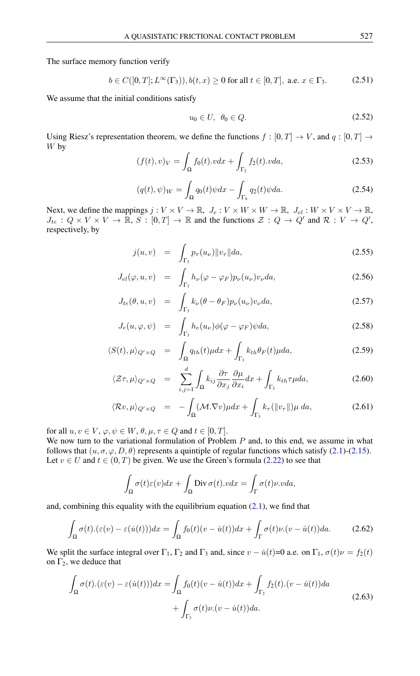The surface memory function verify

<span id="page-8-0"></span>
$$
b \in C([0, T]; L^{\infty}(\Gamma_3)), b(t, x) \ge 0 \text{ for all } t \in [0, T], \text{ a.e. } x \in \Gamma_3.
$$
 (2.51)

We assume that the initial conditions satisfy

<span id="page-8-5"></span>
$$
u_0 \in U, \ \theta_0 \in Q. \tag{2.52}
$$

<span id="page-8-2"></span>Using Riesz's representation theorem, we define the functions  $f : [0, T] \to V$ , and  $q : [0, T] \to V$ W by

$$
(f(t), v)_V = \int_{\Omega} f_0(t) \cdot v dx + \int_{\Gamma_2} f_2(t) \cdot v da,
$$
\n(2.53)

$$
(q(t), \psi)_W = \int_{\Omega} q_0(t)\psi dx - \int_{\Gamma_b} q_2(t)\psi da.
$$
 (2.54)

<span id="page-8-4"></span>Next, we define the mappings  $j: V \times V \to \mathbb{R}$ ,  $J_e: V \times W \times W \to \mathbb{R}$ ,  $J_{el}: W \times V \times V \to \mathbb{R}$ ,  $J_{te}: Q \times V \times V \to \overline{\mathbb{R}}, S: [0, T] \to \mathbb{R}$  and the functions  $\mathcal{Z}: Q \to Q'$  and  $\mathcal{R}: V \to Q',$ respectively, by

<span id="page-8-3"></span>
$$
j(u, v) = \int_{\Gamma_3} p_{\tau}(u_{\nu}) ||v_{\tau}|| da,
$$
\n(2.55)

$$
J_{el}(\varphi, u, v) = \int_{\Gamma_3} h_{\nu}(\varphi - \varphi_F) p_{\nu}(u_{\nu}) v_{\nu} da,
$$
\n(2.56)

$$
J_{te}(\theta, u, v) = \int_{\Gamma_3} k_{\nu} (\theta - \theta_F) p_{\nu}(u_{\nu}) v_{\nu} da,
$$
\n(2.57)

$$
J_e(u, \varphi, \psi) = \int_{\Gamma_3} h_e(u_\nu) \phi(\varphi - \varphi_F) \psi da, \qquad (2.58)
$$

$$
\langle S(t), \mu \rangle_{Q' \times Q} = \int_{\Omega} q_{th}(t) \mu dx + \int_{\Gamma_3} k_{th} \theta_F(t) \mu da, \qquad (2.59)
$$

$$
\langle \mathcal{Z}\tau, \mu \rangle_{Q' \times Q} = \sum_{i,j=1}^{d} \int_{\Omega} k_{ij} \frac{\partial \tau}{\partial x_j} \frac{\partial \mu}{\partial x_i} dx + \int_{\Gamma_3} k_{th} \tau \mu da, \tag{2.60}
$$

$$
\langle \mathcal{R}v, \mu \rangle_{Q' \times Q} = - \int_{\Omega} (\mathcal{M}.\nabla v) \mu dx + \int_{\Gamma_3} k_\tau(\|v_\tau\|) \mu \, da,\tag{2.61}
$$

for all  $u, v \in V$ ,  $\varphi, \psi \in W$ ,  $\theta, \mu, \tau \in Q$  and  $t \in [0, T]$ .

We now turn to the variational formulation of Problem  $P$  and, to this end, we assume in what follows that  $(u, \sigma, \varphi, D, \theta)$  represents a quintiple of regular functions which satisfy [\(2.1\)](#page-2-3)-[\(2.15\)](#page-3-0). Let  $v \in U$  and  $t \in (0, T)$  be given. We use the Green's formula [\(2.22\)](#page-4-0) to see that

$$
\int_{\Omega} \sigma(t)\varepsilon(v)dx + \int_{\Omega} \text{Div}\,\sigma(t).vdx = \int_{\Gamma} \sigma(t)\nu.vda,
$$

and, combining this equality with the equilibrium equation  $(2.1)$ , we find that

$$
\int_{\Omega} \sigma(t) \cdot (\varepsilon(v) - \varepsilon(\dot{u}(t))) dx = \int_{\Omega} f_0(t) (v - \dot{u}(t)) dx + \int_{\Gamma} \sigma(t) \nu \cdot (v - \dot{u}(t)) da. \tag{2.62}
$$

We split the surface integral over  $\Gamma_1$ ,  $\Gamma_2$  and  $\Gamma_3$  and, since  $v - \dot{u}(t) = 0$  a.e. on  $\Gamma_1$ ,  $\sigma(t)\nu = f_2(t)$ on  $\Gamma_2$ , we deduce that

<span id="page-8-1"></span>
$$
\int_{\Omega} \sigma(t) \cdot (\varepsilon(v) - \varepsilon(\dot{u}(t))) dx = \int_{\Omega} f_0(t)(v - \dot{u}(t)) dx + \int_{\Gamma_2} f_2(t) \cdot (v - \dot{u}(t)) da \n+ \int_{\Gamma_3} \sigma(t) \nu \cdot (v - \dot{u}(t)) da.
$$
\n(2.63)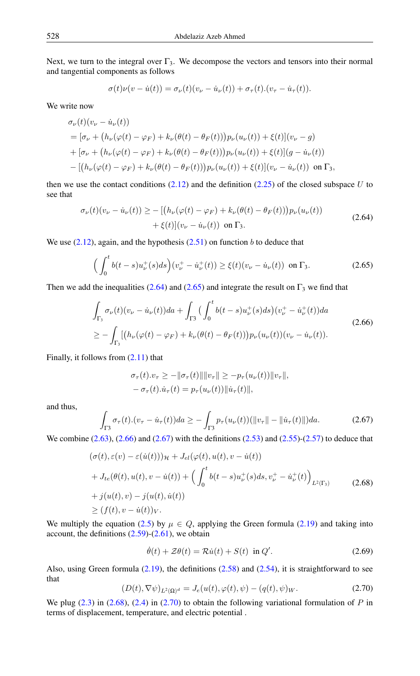Next, we turn to the integral over  $\Gamma_3$ . We decompose the vectors and tensors into their normal and tangential components as follows

$$
\sigma(t)\nu(v - \dot{u}(t)) = \sigma_{\nu}(t)(v_{\nu} - \dot{u}_{\nu}(t)) + \sigma_{\tau}(t)(v_{\tau} - \dot{u}_{\tau}(t)).
$$

We write now

$$
\sigma_{\nu}(t)(v_{\nu} - \dot{u}_{\nu}(t))
$$
\n
$$
= [\sigma_{\nu} + (h_{\nu}(\varphi(t) - \varphi_F) + k_{\nu}(\theta(t) - \theta_F(t)))p_{\nu}(u_{\nu}(t)) + \xi(t)](v_{\nu} - g)
$$
\n
$$
+ [\sigma_{\nu} + (h_{\nu}(\varphi(t) - \varphi_F) + k_{\nu}(\theta(t) - \theta_F(t)))p_{\nu}(u_{\nu}(t)) + \xi(t)](g - \dot{u}_{\nu}(t))
$$
\n
$$
- [ (h_{\nu}(\varphi(t) - \varphi_F) + k_{\nu}(\theta(t) - \theta_F(t)))p_{\nu}(u_{\nu}(t)) + \xi(t)](v_{\nu} - \dot{u}_{\nu}(t)) \text{ on } \Gamma_3,
$$

then we use the contact conditions  $(2.12)$  and the definition  $(2.25)$  of the closed subspace U to see that

<span id="page-9-0"></span>
$$
\sigma_{\nu}(t)(v_{\nu} - \dot{u}_{\nu}(t)) \ge -\left[ (h_{\nu}(\varphi(t) - \varphi_F) + k_{\nu}(\theta(t) - \theta_F(t))) p_{\nu}(u_{\nu}(t)) + \xi(t) \right] (v_{\nu} - \dot{u}_{\nu}(t)) \text{ on } \Gamma_3.
$$
\n(2.64)

We use  $(2.12)$ , again, and the hypothesis  $(2.51)$  on function b to deduce that

<span id="page-9-1"></span>
$$
\left(\int_0^t b(t-s)u^+_{\nu}(s)ds\right)(v^+_{\nu}-\dot{u}^+_{\nu}(t)) \ge \xi(t)(v_{\nu}-\dot{u}_{\nu}(t)) \text{ on } \Gamma_3. \tag{2.65}
$$

Then we add the inequalities [\(2.64\)](#page-9-0) and [\(2.65\)](#page-9-1) and integrate the result on  $\Gamma_3$  we find that

$$
\int_{\Gamma_3} \sigma_{\nu}(t)(v_{\nu} - \dot{u}_{\nu}(t))da + \int_{\Gamma_3} \left( \int_0^t b(t-s)u_{\nu}^+(s)ds \right)(v_{\nu}^+ - \dot{u}_{\nu}^+(t))da
$$
\n
$$
\geq -\int_{\Gamma_3} \left[ \left( h_{\nu}(\varphi(t) - \varphi_F) + k_{\nu}(\theta(t) - \theta_F(t)) \right) p_{\nu}(u_{\nu}(t)) (v_{\nu} - \dot{u}_{\nu}(t)). \right. \tag{2.66}
$$

Finally, it follows from [\(2.11\)](#page-2-1) that

<span id="page-9-2"></span>
$$
\sigma_{\tau}(t).v_{\tau} \ge -\|\sigma_{\tau}(t)\| \|v_{\tau}\| \ge -p_{\tau}(u_{\nu}(t)) \|v_{\tau}\|,
$$
  

$$
-\sigma_{\tau}(t).\dot{u}_{\tau}(t) = p_{\tau}(u_{\nu}(t)) \|\dot{u}_{\tau}(t)\|,
$$

and thus,

<span id="page-9-3"></span>
$$
\int_{\Gamma3} \sigma_{\tau}(t) \cdot (v_{\tau} - \dot{u}_{\tau}(t)) da \ge - \int_{\Gamma3} p_{\tau}(u_{\nu}(t)) (\|v_{\tau}\| - \|\dot{u}_{\tau}(t)\|) da. \tag{2.67}
$$

<span id="page-9-4"></span>We combine  $(2.63)$ ,  $(2.66)$  and  $(2.67)$  with the definitions  $(2.53)$  and  $(2.55)$ - $(2.57)$  to deduce that

$$
(\sigma(t), \varepsilon(v) - \varepsilon(\dot{u}(t)))_{\mathcal{H}} + J_{el}(\varphi(t), u(t), v - \dot{u}(t))
$$
  
+ 
$$
J_{te}(\theta(t), u(t), v - \dot{u}(t)) + \left(\int_0^t b(t - s)u_{\nu}^+(s)ds, v_{\nu}^+ - \dot{u}_{\nu}^+(t)\right)_{L^2(\Gamma_3)}
$$
  
+ 
$$
j(u(t), v) - j(u(t), \dot{u}(t))
$$
  

$$
\ge (f(t), v - \dot{u}(t))_{V}.
$$
 (2.68)

We multiply the equation [\(2.5\)](#page-2-0) by  $\mu \in Q$ , applying the Green formula [\(2.19\)](#page-4-1) and taking into account, the definitions  $(2.59)-(2.61)$  $(2.59)-(2.61)$  $(2.59)-(2.61)$ , we obtain

$$
\dot{\theta}(t) + \mathcal{Z}\theta(t) = \mathcal{R}\dot{u}(t) + S(t) \text{ in } Q'. \tag{2.69}
$$

<span id="page-9-5"></span>Also, using Green formula [\(2.19\)](#page-4-1), the definitions [\(2.58\)](#page-8-3) and [\(2.54\)](#page-8-4), it is straightforward to see that

$$
(D(t), \nabla \psi)_{L^2(\Omega)^d} = J_e(u(t), \varphi(t), \psi) - (q(t), \psi)_W.
$$
\n
$$
(2.70)
$$

We plug  $(2.3)$  in  $(2.68)$ ,  $(2.4)$  in  $(2.70)$  to obtain the following variational formulation of P in terms of displacement, temperature, and electric potential .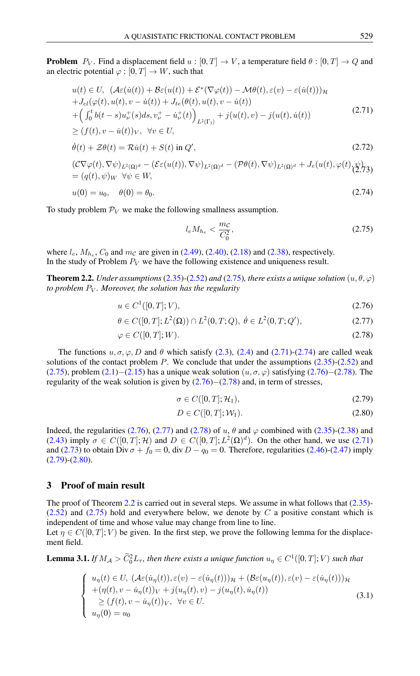**Problem**  $P_V$ . Find a displacement field  $u : [0, T] \to V$ , a temperature field  $\theta : [0, T] \to Q$  and an electric potential  $\varphi : [0, T] \to W$ , such that

<span id="page-10-1"></span>
$$
u(t) \in U, \quad (\mathcal{A}\varepsilon(\dot{u}(t)) + \mathcal{B}\varepsilon(u(t)) + \mathcal{E}^*(\nabla\varphi(t)) - \mathcal{M}\theta(t), \varepsilon(v) - \varepsilon(\dot{u}(t)))_{\mathcal{H}}
$$
  
+
$$
J_{el}(\varphi(t), u(t), v - \dot{u}(t)) + J_{te}(\theta(t), u(t), v - \dot{u}(t))
$$
  
+
$$
\left(\int_0^t b(t - s)u_v^+(s)ds, v_v^+ - \dot{u}_v^+(t)\right)_{L^2(\Gamma_3)} + j(u(t), v) - j(u(t), \dot{u}(t))
$$
  

$$
\ge (f(t), v - \dot{u}(t))_{V}, \quad \forall v \in U,
$$
 (2.71)

$$
\dot{\theta}(t) + \mathcal{Z}\theta(t) = \mathcal{R}\dot{u}(t) + S(t) \text{ in } Q',\tag{2.72}
$$

$$
(\mathcal{C}\nabla\varphi(t),\nabla\psi)_{L^2(\Omega)^d} - (\mathcal{E}\varepsilon(u(t)),\nabla\psi)_{L^2(\Omega)^d} - (\mathcal{P}\theta(t),\nabla\psi)_{L^2(\Omega)^d} + J_e(u(t),\varphi(t),\psi)_{(2,73)} = (q(t),\psi)_W \ \ \forall \psi \in W,
$$

$$
u(0) = u_0, \quad \theta(0) = \theta_0. \tag{2.74}
$$

To study problem  $\mathcal{P}_V$  we make the following smallness assumption.

<span id="page-10-4"></span><span id="page-10-2"></span><span id="page-10-0"></span>
$$
l_e M_{h_e} < \frac{m_{\mathcal{C}}}{C_0^2},\tag{2.75}
$$

where  $l_e$ ,  $M_{h_e}$ ,  $C_0$  and  $m_c$  are given in [\(2.49\)](#page-7-0), [\(2.40\)](#page-7-1), [\(2.18\)](#page-3-2) and [\(2.38\)](#page-6-0), respectively. In the study of Problem  $P_V$  we have the following existence and uniqueness result.

<span id="page-10-7"></span>**Theorem 2.2.** *Under assumptions* [\(2.35\)](#page-6-1) $-$ [\(2.52\)](#page-8-5) *and* [\(2.75\)](#page-10-0)*, there exists a unique solution*  $(u, \theta, \varphi)$ *to problem* P<sup>V</sup> *. Moreover, the solution has the regularity*

$$
u \in C^1([0, T]; V), \tag{2.76}
$$

$$
\theta \in C([0, T]; L^2(\Omega)) \cap L^2(0, T; Q), \ \dot{\theta} \in L^2(0, T; Q'), \tag{2.77}
$$

$$
\varphi \in C([0, T]; W). \tag{2.78}
$$

The functions  $u, \sigma, \varphi, D$  and  $\theta$  which satisfy [\(2.3\)](#page-2-0), [\(2.4\)](#page-2-0) and [\(2.71\)](#page-10-1)-[\(2.74\)](#page-10-1) are called weak solutions of the contact problem  $P$ . We conclude that under the assumptions  $(2.35)-(2.52)$  $(2.35)-(2.52)$  $(2.35)-(2.52)$  and [\(2.75\)](#page-10-0), problem [\(2.1\)](#page-2-3)−[\(2.15\)](#page-3-0) has a unique weak solution  $(u, \sigma, \varphi)$  satisfying [\(2.76\)](#page-10-2)−[\(2.78\)](#page-10-3). The regularity of the weak solution is given by  $(2.76)-(2.78)$  $(2.76)-(2.78)$  $(2.76)-(2.78)$  and, in term of stresses,

<span id="page-10-6"></span><span id="page-10-5"></span><span id="page-10-3"></span>
$$
\sigma \in C([0, T]; \mathcal{H}_1), \tag{2.79}
$$

$$
D \in C([0, T]; \mathcal{W}_1). \tag{2.80}
$$

Indeed, the regularities [\(2.76\)](#page-10-2), [\(2.77\)](#page-10-4) and [\(2.78\)](#page-10-3) of u,  $\theta$  and  $\varphi$  combined with [\(2.35\)](#page-6-1)-[\(2.38\)](#page-6-0) and [\(2.43\)](#page-7-2) imply  $\sigma \in C([0,T];\mathcal{H})$  and  $D \in C([0,T];L^2(\Omega)^d)$ . On the other hand, we use [\(2.71\)](#page-10-1) and [\(2.73\)](#page-10-1) to obtain Div  $\sigma + f_0 = 0$ , div  $D - q_0 = 0$ . Therefore, regularities [\(2.46\)](#page-7-3)-[\(2.47\)](#page-7-3) imply [\(2.79\)](#page-10-5)-[\(2.80\)](#page-10-6).

### 3 Proof of main result

The proof of Theorem [2.2](#page-10-7) is carried out in several steps. We assume in what follows that [\(2.35\)](#page-6-1)-  $(2.52)$  and  $(2.75)$  hold and everywhere below, we denote by C a positive constant which is independent of time and whose value may change from line to line.

Let  $\eta \in C([0, T]; V)$  be given. In the first step, we prove the following lemma for the displacement field.

<span id="page-10-9"></span>**Lemma 3.1.** If  $M_A > \tilde{C}_0^2 L_{\tau}$ , then there exists a unique function  $u_{\eta} \in C^1([0,T];V)$  such that

<span id="page-10-8"></span>
$$
\begin{cases}\n u_{\eta}(t) \in U, \ (\mathcal{A}\varepsilon(\dot{u}_{\eta}(t)), \varepsilon(v) - \varepsilon(\dot{u}_{\eta}(t)))_{\mathcal{H}} + (\mathcal{B}\varepsilon(u_{\eta}(t)), \varepsilon(v) - \varepsilon(\dot{u}_{\eta}(t)))_{\mathcal{H}} \\
 + (\eta(t), v - \dot{u}_{\eta}(t))_{V} + j(u_{\eta}(t), v) - j(u_{\eta}(t), \dot{u}_{\eta}(t)) \\
 \geq (f(t), v - \dot{u}_{\eta}(t))_{V}, \ \forall v \in U. \\
 u_{\eta}(0) = u_{0}\n\end{cases}
$$
\n(3.1)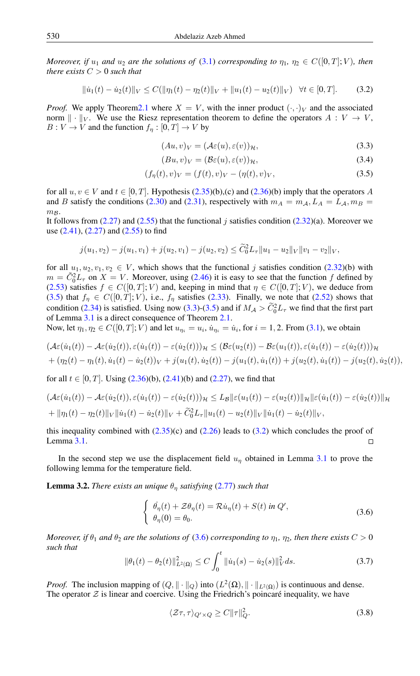*Moreover, if*  $u_1$  *and*  $u_2$  *are the solutions of* [\(3.1\)](#page-10-8) *corresponding to*  $\eta_1$ *,*  $\eta_2 \in C([0,T]; V)$ *, then there exists*  $C > 0$  *such that* 

<span id="page-11-2"></span>
$$
\|\dot{u}_1(t) - \dot{u}_2(t)\|_V \le C(\|\eta_1(t) - \eta_2(t)\|_V + \|u_1(t) - u_2(t)\|_V) \quad \forall t \in [0, T].
$$
 (3.2)

*Proof.* We apply Theorem 2.1 where  $X = V$ , with the inner product  $(\cdot, \cdot)_V$  and the associated norm  $\|\cdot\|_V$ . We use the Riesz representation theorem to define the operators  $A: V \to V$ ,  $B: V \to V$  and the function  $f_n: [0, T] \to V$  by

<span id="page-11-1"></span>
$$
(Au, v)_V = (\mathcal{A}\varepsilon(u), \varepsilon(v))_{\mathcal{H}},\tag{3.3}
$$

<span id="page-11-0"></span>
$$
(Bu, v)_V = (\mathcal{B}\varepsilon(u), \varepsilon(v))_{\mathcal{H}},\tag{3.4}
$$

$$
(f_{\eta}(t), v)_V = (f(t), v)_V - (\eta(t), v)_V, \tag{3.5}
$$

for all  $u, v \in V$  and  $t \in [0, T]$ . Hypothesis [\(2.35\)](#page-6-1)(b),(c) and [\(2.36\)](#page-6-3)(b) imply that the operators A and B satisfy the conditions [\(2.30\)](#page-5-2) and [\(2.31\)](#page-5-5), respectively with  $m_A = m_A$ ,  $L_A = L_A$ ,  $m_B =$  $m_{\mathcal{B}}$ .

It follows from  $(2.27)$  and  $(2.55)$  that the functional j satisfies condition  $(2.32)(a)$  $(2.32)(a)$ . Moreover we use [\(2.41\)](#page-7-4), [\(2.27\)](#page-5-6) and [\(2.55\)](#page-8-3) to find

$$
j(u_1, v_2) - j(u_1, v_1) + j(u_2, v_1) - j(u_2, v_2) \leq \widetilde{C}_0^2 L_\tau \|u_1 - u_2\|_V \|v_1 - v_2\|_V,
$$

for all  $u_1, u_2, v_1, v_2 \in V$ , which shows that the functional j satisfies condition [\(2.32\)](#page-5-7)(b) with  $m = \tilde{C}_0^2 L_\tau$  on  $X = V$ . Moreover, using [\(2.46\)](#page-7-3) it is easy to see that the function f defined by [\(2.53\)](#page-8-2) satisfies  $f \in C([0, T]; V)$  and, keeping in mind that  $\eta \in C([0, T]; V)$ , we deduce from [\(3.5\)](#page-11-0) that  $f_{\eta} \in C([0, T]; V)$ , i.e.,  $f_{\eta}$  satisfies [\(2.33\)](#page-5-8). Finally, we note that [\(2.52\)](#page-8-5) shows that condition [\(2.34\)](#page-5-3) is satisfied. Using now [\(3.3\)](#page-11-1)-[\(3.5\)](#page-11-0) and if  $M_A > \tilde{C}_0^2 L_\tau$  we find that the first part of Lemma [3.1](#page-10-9) is a direct consequence of Theorem [2.1.](#page-6-2)

Now, let  $\eta_1, \eta_2 \in C([0,T];V)$  and let  $u_{\eta_i} = u_i$ ,  $\dot{u}_{\eta_i} = \dot{u}_i$ , for  $i = 1, 2$ . From [\(3.1\)](#page-10-8), we obtain

$$
(\mathcal{A}\varepsilon(\dot{u}_1(t)) - \mathcal{A}\varepsilon(\dot{u}_2(t)), \varepsilon(\dot{u}_1(t)) - \varepsilon(\dot{u}_2(t)))\mathcal{H} \leq (\mathcal{B}\varepsilon(u_2(t)) - \mathcal{B}\varepsilon(u_1(t)), \varepsilon(\dot{u}_1(t)) - \varepsilon(\dot{u}_2(t)))\mathcal{H}
$$
  
+ (\eta\_2(t) - \eta\_1(t), \dot{u}\_1(t) - \dot{u}\_2(t))\mathcal{V} + j(u\_1(t), \dot{u}\_2(t)) - j(u\_1(t), \dot{u}\_1(t)) + j(u\_2(t), \dot{u}\_1(t)) - j(u\_2(t), \dot{u}\_2(t)),

for all  $t \in [0, T]$ . Using  $(2.36)(b)$  $(2.36)(b)$ ,  $(2.41)(b)$  $(2.41)(b)$  and  $(2.27)$ , we find that

$$
(\mathcal{A}\varepsilon(\dot{u}_1(t)) - \mathcal{A}\varepsilon(\dot{u}_2(t)), \varepsilon(\dot{u}_1(t)) - \varepsilon(\dot{u}_2(t)))\mathcal{H} \le L_B \|\varepsilon(u_1(t)) - \varepsilon(u_2(t))\|_{\mathcal{H}} \|\varepsilon(\dot{u}_1(t)) - \varepsilon(\dot{u}_2(t))\|_{\mathcal{H}}
$$
  
+ 
$$
\|\eta_1(t) - \eta_2(t)\|_{V} \|\dot{u}_1(t) - \dot{u}_2(t)\|_{V} + \tilde{C}_0^2 L_{\tau} \|u_1(t) - u_2(t)\|_{V} \|\dot{u}_1(t) - \dot{u}_2(t)\|_{V},
$$

this inequality combined with  $(2.35)(c)$  $(2.35)(c)$  and  $(2.26)$  leads to  $(3.2)$  which concludes the proof of Lemma [3.1.](#page-10-9)

In the second step we use the displacement field  $u_n$  obtained in Lemma [3.1](#page-10-9) to prove the following lemma for the temperature field.

<span id="page-11-6"></span>**Lemma 3.2.** *There exists an unique*  $\theta_{\eta}$  *satisfying* [\(2.77\)](#page-10-4) *such that* 

<span id="page-11-3"></span>
$$
\begin{cases}\n\dot{\theta}_{\eta}(t) + \mathcal{Z}\theta_{\eta}(t) = \mathcal{R}\dot{u}_{\eta}(t) + S(t) \text{ in } Q', \\
\theta_{\eta}(0) = \theta_{0}.\n\end{cases}
$$
\n(3.6)

<span id="page-11-5"></span>*Moreover, if*  $\theta_1$  *and*  $\theta_2$  *are the solutions of* [\(3.6\)](#page-11-3) *corresponding to*  $\eta_1$ *,*  $\eta_2$ *, then there exists*  $C > 0$ *such that*

$$
\|\theta_1(t) - \theta_2(t)\|_{L^2(\Omega)}^2 \le C \int_0^t \|\dot{u}_1(s) - \dot{u}_2(s)\|_V^2 ds. \tag{3.7}
$$

*Proof.* The inclusion mapping of  $(Q, || \cdot ||_Q)$  into  $(L^2(\Omega), || \cdot ||_{L^2(\Omega)})$  is continuous and dense. The operator  $\mathcal Z$  is linear and coercive. Using the Friedrich's poincaré inequality, we have

<span id="page-11-4"></span>
$$
\langle \mathcal{Z}\tau, \tau \rangle_{Q' \times Q} \ge C \| \tau \|_Q^2. \tag{3.8}
$$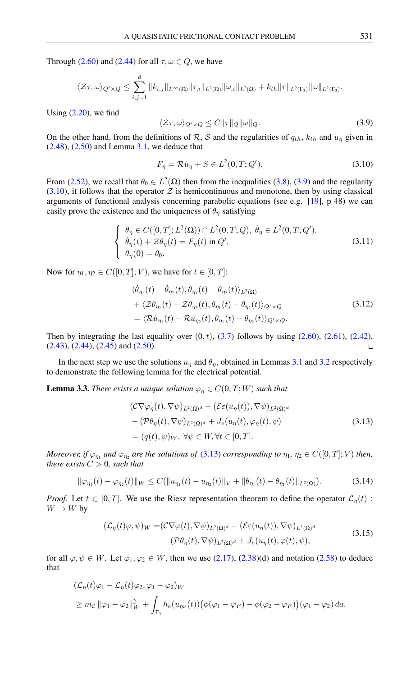Through [\(2.60\)](#page-8-3) and [\(2.44\)](#page-7-2) for all  $\tau, \omega \in Q$ , we have

$$
\langle \mathcal{Z}\tau,\omega\rangle_{Q'\times Q} \leq \sum_{i,j=1}^d \|k_{i,j}\|_{L^\infty(\Omega)} \|\tau_{,i}\|_{L^2(\Omega)} \|\omega_{,i}\|_{L^2(\Omega)} + k_{th} \|\tau\|_{L^2(\Gamma_3)} \|\omega\|_{L^2(\Gamma_3)}.
$$

Using  $(2.20)$ , we find

<span id="page-12-1"></span><span id="page-12-0"></span>
$$
\langle \mathcal{Z}\tau, \omega \rangle_{Q' \times Q} \le C \| \tau \|_{Q} \| \omega \|_{Q}.
$$
\n(3.9)

On the other hand, from the definitions of R, S and the regularities of  $q_{th}$ ,  $k_{th}$  and  $u_{\eta}$  given in  $(2.48)$ ,  $(2.50)$  and Lemma [3.1,](#page-10-9) we deduce that

$$
F_{\eta} = \mathcal{R}\dot{u}_{\eta} + S \in L^{2}(0, T; Q'). \qquad (3.10)
$$

From [\(2.52\)](#page-8-5), we recall that  $\theta_0 \in L^2(\Omega)$  then from the inequalities [\(3.8\)](#page-11-4), [\(3.9\)](#page-12-0) and the regularity  $(3.10)$ , it follows that the operator  $\mathcal Z$  is hemicontinuous and monotone, then by using classical arguments of functional analysis concerning parabolic equations (see e.g. [\[19\]](#page-16-16), p 48) we can easily prove the existence and the uniqueness of  $\theta_{\eta}$  satisfying

$$
\begin{cases}\n\theta_{\eta} \in C([0, T]; L^{2}(\Omega)) \cap L^{2}(0, T; Q), \ \dot{\theta}_{\eta} \in L^{2}(0, T; Q'), \\
\dot{\theta}_{\eta}(t) + \mathcal{Z}\theta_{\eta}(t) = F_{\eta}(t) \text{ in } Q', \\
\theta_{\eta}(0) = \theta_{0}.\n\end{cases}
$$
\n(3.11)

Now for  $\eta_1, \eta_2 \in C([0, T]; V)$ , we have for  $t \in [0, T]$ :

$$
\langle \dot{\theta}_{\eta_1}(t) - \dot{\theta}_{\eta_2}(t), \theta_{\eta_1}(t) - \theta_{\eta_2}(t) \rangle_{L^2(\Omega)}
$$
  
+ 
$$
\langle \mathcal{Z}\theta_{\eta_1}(t) - \mathcal{Z}\theta_{\eta_2}(t), \theta_{\eta_1}(t) - \theta_{\eta_2}(t) \rangle_{Q' \times Q}
$$
  
= 
$$
\langle \mathcal{R}\dot{u}_{\eta_1}(t) - \mathcal{R}\dot{u}_{\eta_2}(t), \theta_{\eta_1}(t) - \theta_{\eta_2}(t) \rangle_{Q' \times Q}.
$$
 (3.12)

Then by integrating the last equality over  $(0, t)$ ,  $(3.7)$  follows by using  $(2.60)$ ,  $(2.61)$ ,  $(2.42)$ ,  $(2.43), (2.44), (2.45)$  $(2.43), (2.44), (2.45)$  $(2.43), (2.44), (2.45)$  $(2.43), (2.44), (2.45)$  $(2.43), (2.44), (2.45)$  and  $(2.50).$  $(2.50).$  $\Box$ 

In the next step we use the solutions  $u_n$  and  $\theta_n$ , obtained in Lemmas [3.1](#page-10-9) and [3.2](#page-11-6) respectively to demonstrate the following lemma for the electrical potential.

<span id="page-12-5"></span>**Lemma 3.3.** *There exists a unique solution*  $\varphi_n \in C(0,T;W)$  *such that* 

<span id="page-12-4"></span><span id="page-12-2"></span>
$$
(\mathcal{C}\nabla\varphi_{\eta}(t), \nabla\psi)_{L^{2}(\Omega)^{d}} - (\mathcal{E}\varepsilon(u_{\eta}(t)), \nabla\psi)_{L^{2}(\Omega)^{d}}
$$
  
-\n
$$
(\mathcal{P}\theta_{\eta}(t), \nabla\psi)_{L^{2}(\Omega)^{d}} + J_{e}(u_{\eta}(t), \varphi_{\eta}(t), \psi)
$$
  
=\n
$$
(q(t), \psi)_{W}, \forall \psi \in W, \forall t \in [0, T].
$$
\n(3.13)

*Moreover, if*  $\varphi_{\eta_1}$  and  $\varphi_{\eta_2}$  are the solutions of [\(3.13\)](#page-12-2) corresponding to  $\eta_1$ ,  $\eta_2 \in C([0,T];V)$  then, *there exists*  $C > 0$ *, such that* 

$$
\|\varphi_{\eta_1}(t) - \varphi_{\eta_2}(t)\|_{W} \le C(\|u_{\eta_1}(t) - u_{\eta_2}(t)\|_{V} + \|\theta_{\eta_1}(t) - \theta_{\eta_1}(t)\|_{L^2(\Omega)}).
$$
 (3.14)

*Proof.* Let  $t \in [0, T]$ . We use the Riesz representation theorem to define the operator  $\mathcal{L}_n(t)$ :  $W \to W$  by

<span id="page-12-3"></span>
$$
(\mathcal{L}_{\eta}(t)\varphi,\psi)_{W} = (\mathcal{C}\nabla\varphi(t),\nabla\psi)_{L^{2}(\Omega)^{d}} - (\mathcal{E}\varepsilon(u_{\eta}(t)),\nabla\psi)_{L^{2}(\Omega)^{d}} - (\mathcal{P}\theta_{\eta}(t),\nabla\psi)_{L^{2}(\Omega)^{d}} + J_{\epsilon}(u_{\eta}(t),\varphi(t),\psi),
$$
\n(3.15)

for all  $\varphi, \psi \in W$ . Let  $\varphi_1, \varphi_2 \in W$ , then we use [\(2.17\)](#page-3-3), [\(2.38\)](#page-6-0)(d) and notation [\(2.58\)](#page-8-3) to deduce that

$$
\begin{aligned} & \left( \mathcal{L}_{\eta}(t)\varphi_{1} - \mathcal{L}_{\eta}(t)\varphi_{2}, \varphi_{1} - \varphi_{2} \right) w \\ &\geq m_{\mathcal{C}} \left\| \varphi_{1} - \varphi_{2} \right\|_{W}^{2} + \int_{\Gamma_{3}} h_{e}(u_{\eta\nu}(t)) \big( \phi(\varphi_{1} - \varphi_{F}) - \phi(\varphi_{2} - \varphi_{F}) \big) (\varphi_{1} - \varphi_{2}) \, da. \end{aligned}
$$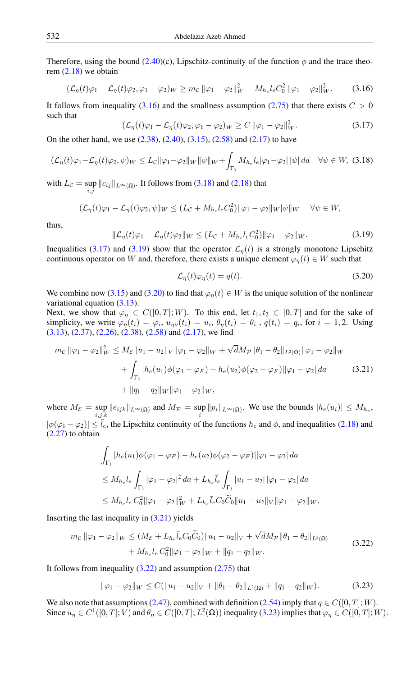Therefore, using the bound [\(2.40\)](#page-7-1)(c), Lipschitz-continuity of the function  $\phi$  and the trace theorem  $(2.18)$  we obtain

<span id="page-13-2"></span>
$$
(\mathcal{L}_{\eta}(t)\varphi_1 - \mathcal{L}_{\eta}(t)\varphi_2, \varphi_1 - \varphi_2)_{W} \geq m_{\mathcal{C}} \|\varphi_1 - \varphi_2\|_{W}^2 - M_{h_e}l_eC_0^2 \|\varphi_1 - \varphi_2\|_{W}^2.
$$
 (3.16)

It follows from inequality [\(3.16\)](#page-13-0) and the smallness assumption [\(2.75\)](#page-10-0) that there exists  $C > 0$ such that

<span id="page-13-1"></span><span id="page-13-0"></span>
$$
(\mathcal{L}_{\eta}(t)\varphi_{1} - \mathcal{L}_{\eta}(t)\varphi_{2}, \varphi_{1} - \varphi_{2})_{W} \ge C \|\varphi_{1} - \varphi_{2}\|_{W}^{2}.
$$
\n(3.17)

On the other hand, we use  $(2.38)$ ,  $(2.40)$ ,  $(3.15)$ ,  $(2.58)$  and  $(2.17)$  to have

$$
(\mathcal{L}_{\eta}(t)\varphi_1 - \mathcal{L}_{\eta}(t)\varphi_2, \psi)_W \le L_{\mathcal{C}} \|\varphi_1 - \varphi_2\|_W \|\psi\|_W + \int_{\Gamma_3} M_{h_e} l_e |\varphi_1 - \varphi_2| \|\psi\| \, da \quad \forall \psi \in W, \tag{3.18}
$$

with  $L_{\mathcal{C}} = \sup_{i,j} ||c_{ij}||_{L^{\infty}(\Omega)}$ . It follows from [\(3.18\)](#page-13-1) and [\(2.18\)](#page-3-2) that

$$
(\mathcal{L}_{\eta}(t)\varphi_1 - \mathcal{L}_{\eta}(t)\varphi_2, \psi)_W \le (L_{\mathcal{C}} + M_{h_e}l_eC_0^2)\|\varphi_1 - \varphi_2\|_W\|\psi\|_W \quad \forall \psi \in W,
$$

<span id="page-13-3"></span>thus,

$$
\|\mathcal{L}_{\eta}(t)\varphi_1 - \mathcal{L}_{\eta}(t)\varphi_2\|_{W} \le (L_{\mathcal{C}} + M_{h_e}l_eC_0^2)\|\varphi_1 - \varphi_2\|_{W}.
$$
\n(3.19)

Inequalities [\(3.17\)](#page-13-2) and [\(3.19\)](#page-13-3) show that the operator  $\mathcal{L}_n(t)$  is a strongly monotone Lipschitz continuous operator on W and, therefore, there exists a unique element  $\varphi_n(t) \in W$  such that

<span id="page-13-5"></span><span id="page-13-4"></span>
$$
\mathcal{L}_{\eta}(t)\varphi_{\eta}(t) = q(t). \tag{3.20}
$$

We combine now [\(3.15\)](#page-12-3) and [\(3.20\)](#page-13-4) to find that  $\varphi_n(t) \in W$  is the unique solution of the nonlinear variational equation  $(3.13)$ .

Next, we show that  $\varphi_{\eta} \in C([0,T];W)$ . To this end, let  $t_1, t_2 \in [0,T]$  and for the sake of simplicity, we write  $\varphi_{\eta}(t_i) = \varphi_i$ ,  $u_{\eta\nu}(t_i) = u_i$ ,  $\theta_{\eta}(t_i) = \theta_i$ ,  $q(t_i) = q_i$ , for  $i = 1, 2$ . Using [\(3.13\)](#page-12-2), [\(2.37\)](#page-6-4), [\(2.26\)](#page-5-9), [\(2.38\)](#page-6-0), [\(2.58\)](#page-8-3) and [\(2.17\)](#page-3-3), we find

$$
m_{\mathcal{C}} \|\varphi_1 - \varphi_2\|_W^2 \le M_{\mathcal{E}} \|u_1 - u_2\|_V \|\varphi_1 - \varphi_2\|_W + \sqrt{d}M_{\mathcal{P}} \|\theta_1 - \theta_2\|_{L^2(\Omega)} \|\varphi_1 - \varphi_2\|_W
$$
  
+  $\int_{\Gamma_3} |h_e(u_1)\phi(\varphi_1 - \varphi_F) - h_e(u_2)\phi(\varphi_2 - \varphi_F) ||\varphi_1 - \varphi_2| \, da$  (3.21)  
+  $\|q_1 - q_2\|_W \|\varphi_1 - \varphi_2\|_W,$ 

where  $M_{\mathcal{E}} = \sup_{i,j,k} ||e_{ijk}||_{L^{\infty}(\Omega)}$  and  $M_{\mathcal{P}} = \sup_i ||p_i||_{L^{\infty}(\Omega)}$ . We use the bounds  $|h_e(u_i)| \leq M_{h_e}$ ,  $i,j,k$  $|\phi(\varphi_1 - \varphi_2)| \le \overline{l}_e$ , the Lipschitz continuity of the functions  $h_e$  and  $\phi$ , and inequalities [\(2.18\)](#page-3-2) and [\(2.27\)](#page-5-6) to obtain

<span id="page-13-6"></span>
$$
\int_{\Gamma_3} |h_e(u_1)\phi(\varphi_1 - \varphi_F) - h_e(u_2)\phi(\varphi_2 - \varphi_F)||\varphi_1 - \varphi_2| \, da
$$
\n
$$
\leq M_{h_e} l_e \int_{\Gamma_3} |\varphi_1 - \varphi_2|^2 \, da + L_{h_e} \bar{l}_e \int_{\Gamma_3} |u_1 - u_2| \, |\varphi_1 - \varphi_2| \, da
$$
\n
$$
\leq M_{h_e} l_e \, C_0^2 ||\varphi_1 - \varphi_2||_W^2 + L_{h_e} \bar{l}_e C_0 \widetilde{C}_0 ||u_1 - u_2||_V ||\varphi_1 - \varphi_2||_W.
$$

Inserting the last inequality in  $(3.21)$  yields

$$
m_{\mathcal{C}} \|\varphi_1 - \varphi_2\|_W \le (M_{\mathcal{E}} + L_{h_e} \bar{l}_e C_0 \widetilde{C}_0) \|u_1 - u_2\|_V + \sqrt{d} M_{\mathcal{P}} \|\theta_1 - \theta_2\|_{L^2(\Omega)}
$$
  
+  $M_{h_e} l_e C_0^2 \|\varphi_1 - \varphi_2\|_W + \|q_1 - q_2\|_W.$  (3.22)

It follows from inequality  $(3.22)$  and assumption  $(2.75)$  that

<span id="page-13-7"></span>
$$
\|\varphi_1 - \varphi_2\|_W \le C(\|u_1 - u_2\|_V + \|\theta_1 - \theta_2\|_{L^2(\Omega)} + \|q_1 - q_2\|_W). \tag{3.23}
$$

We also note that assumptions [\(2.47\)](#page-7-3), combined with definition [\(2.54\)](#page-8-4) imply that  $q \in C([0, T]; W)$ . Since  $u_{\eta} \in C^1([0,T]; V)$  and  $\theta_{\eta} \in C([0,T]; L^2(\Omega))$  inequality [\(3.23\)](#page-13-7) implies that  $\varphi_{\eta} \in C([0,T]; W)$ .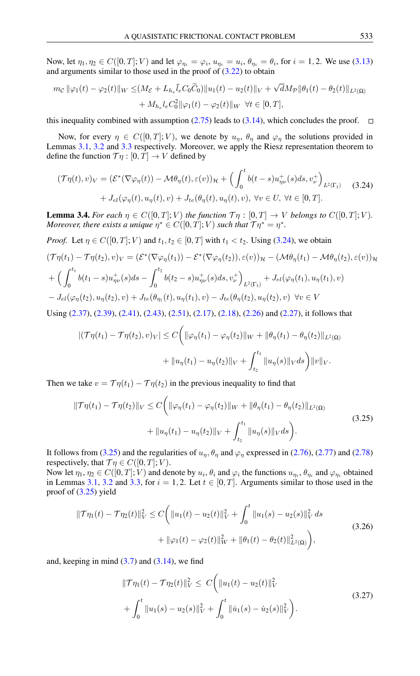Now, let  $\eta_1, \eta_2 \in C([0,T]; V)$  and let  $\varphi_{\eta_i} = \varphi_i$ ,  $u_{\eta_i} = u_i$ ,  $\theta_{\eta_i} = \theta_i$ , for  $i = 1, 2$ . We use [\(3.13\)](#page-12-2) and arguments similar to those used in the proof of [\(3.22\)](#page-13-6) to obtain

$$
m_{\mathcal{C}} \|\varphi_1(t) - \varphi_2(t)\|_{W} \leq (M_{\mathcal{E}} + L_{h_e} \bar{l}_e C_0 \widetilde{C}_0) \|u_1(t) - u_2(t)\|_{V} + \sqrt{d}M_{\mathcal{P}} \|\theta_1(t) - \theta_2(t)\|_{L^2(\Omega)} + M_{h_e} l_e C_0^2 \|\varphi_1(t) - \varphi_2(t)\|_{W} \ \forall t \in [0, T],
$$

this inequality combined with assumption [\(2.75\)](#page-10-0) leads to [\(3.14\)](#page-12-4), which concludes the proof.  $\square$ 

Now, for every  $\eta \in C([0,T]; V)$ , we denote by  $u_n$ ,  $\theta_n$  and  $\varphi_n$  the solutions provided in Lemmas [3.1,](#page-10-9) [3.2](#page-11-6) and [3.3](#page-12-5) respectively. Moreover, we apply the Riesz representation theorem to define the function  $\mathcal{T}\eta:[0,T] \to V$  defined by

<span id="page-14-0"></span>
$$
(\mathcal{T}\eta(t),v)_V = \left(\mathcal{E}^*(\nabla\varphi_\eta(t)) - \mathcal{M}\theta_\eta(t), \varepsilon(v)\right)_\mathcal{H} + \left(\int_0^t b(t-s)u_{\eta\nu}^+(s)ds, v_\nu^+\right)_{L^2(\Gamma_3)} \quad (3.24)
$$

$$
+ J_{el}(\varphi_\eta(t), u_\eta(t), v) + J_{te}(\theta_\eta(t), u_\eta(t), v), \ \forall v \in U, \ \forall t \in [0, T].
$$

**Lemma 3.4.** *For each*  $\eta \in C([0, T]; V)$  *the function*  $\mathcal{T}\eta : [0, T] \to V$  *belongs to*  $C([0, T]; V)$ *. Moreover, there exists a unique*  $\eta^* \in C([0,T];V)$  *such that*  $\mathcal{T}\eta^* = \eta^*$ .

*Proof.* Let  $\eta \in C([0, T]; V)$  and  $t_1, t_2 \in [0, T]$  with  $t_1 < t_2$ . Using [\(3.24\)](#page-14-0), we obtain

$$
(\mathcal{T}\eta(t_1) - \mathcal{T}\eta(t_2), v)_V = (\mathcal{E}^*(\nabla\varphi_{\eta}(t_1)) - \mathcal{E}^*(\nabla\varphi_{\eta}(t_2)), \varepsilon(v))_{\mathcal{H}} - (\mathcal{M}\theta_{\eta}(t_1) - \mathcal{M}\theta_{\eta}(t_2), \varepsilon(v))_{\mathcal{H}}
$$
  
+ 
$$
\left(\int_0^{t_1} b(t_1 - s)u_{\eta\nu}^+(s)ds - \int_0^{t_2} b(t_2 - s)u_{\eta\nu}^+(s)ds, v_{\nu}^+\right)_{L^2(\Gamma_3)} + J_{el}(\varphi_{\eta}(t_1), u_{\eta}(t_1), v)
$$
  
- 
$$
J_{el}(\varphi_{\eta}(t_2), u_{\eta}(t_2), v) + J_{te}(\theta_{\eta_1}(t), u_{\eta}(t_1), v) - J_{te}(\theta_{\eta}(t_2), u_{\eta}(t_2), v) \quad \forall v \in V
$$

Using [\(2.37\)](#page-6-4), [\(2.39\)](#page-6-5), [\(2.41\)](#page-7-4), [\(2.43\)](#page-7-2), [\(2.51\)](#page-8-0), [\(2.17\)](#page-3-3), [\(2.18\)](#page-3-2), [\(2.26\)](#page-5-9) and [\(2.27\)](#page-5-6), it follows that

<span id="page-14-1"></span>
$$
\begin{aligned} |(\mathcal{T}\eta(t_1) - \mathcal{T}\eta(t_2), v)_V| &\le C \bigg( \|\varphi_\eta(t_1) - \varphi_\eta(t_2)\|_W + \|\theta_\eta(t_1) - \theta_\eta(t_2)\|_{L^2(\Omega)} \\ &+ \|u_\eta(t_1) - u_\eta(t_2)\|_V + \int_{t_2}^{t_1} \|u_\eta(s)\|_V ds \bigg) \|v\|_V. \end{aligned}
$$

Then we take  $v = \mathcal{T}\eta(t_1) - \mathcal{T}\eta(t_2)$  in the previous inequality to find that

$$
\|\mathcal{T}\eta(t_1) - \mathcal{T}\eta(t_2)\|_V \le C \bigg( \|\varphi_\eta(t_1) - \varphi_\eta(t_2)\|_W + \|\theta_\eta(t_1) - \theta_\eta(t_2)\|_{L^2(\Omega)} + \|u_\eta(t_1) - u_\eta(t_2)\|_V + \int_{t_2}^{t_1} \|u_\eta(s)\|_V ds \bigg).
$$
\n(3.25)

It follows from [\(3.25\)](#page-14-1) and the regularities of  $u<sub>\eta</sub>$ ,  $\theta<sub>\eta</sub>$  and  $\varphi<sub>\eta</sub>$  expressed in [\(2.76\)](#page-10-2), [\(2.77\)](#page-10-4) and [\(2.78\)](#page-10-3) respectively, that  $\mathcal{T}\eta \in C([0,T];V)$ .

Now let  $\eta_1, \eta_2 \in C([0,T];V)$  and denote by  $u_i, \theta_i$  and  $\varphi_i$  the functions  $u_{\eta_i}, \theta_{\eta_i}$  and  $\varphi_{\eta_i}$  obtained in Lemmas [3.1,](#page-10-9) [3.2](#page-11-6) and [3.3,](#page-12-5) for  $i = 1, 2$ . Let  $t \in [0, T]$ . Arguments similar to those used in the proof of [\(3.25\)](#page-14-1) yield

$$
\|\mathcal{T}\eta_1(t) - \mathcal{T}\eta_2(t)\|_V^2 \le C \bigg( \|u_1(t) - u_2(t)\|_V^2 + \int_0^t \|u_1(s) - u_2(s)\|_V^2 ds + \|\varphi_1(t) - \varphi_2(t)\|_W^2 + \|\theta_1(t) - \theta_2(t)\|_{L^2(\Omega)}^2 \bigg),
$$
\n(3.26)

and, keeping in mind  $(3.7)$  and  $(3.14)$ , we find

<span id="page-14-2"></span>
$$
\|\mathcal{T}\eta_1(t) - \mathcal{T}\eta_2(t)\|_V^2 \leq C \bigg(\|u_1(t) - u_2(t)\|_V^2 + \int_0^t \|u_1(s) - u_2(s)\|_V^2 + \int_0^t \|u_1(s) - u_2(s)\|_V^2\bigg).
$$
\n(3.27)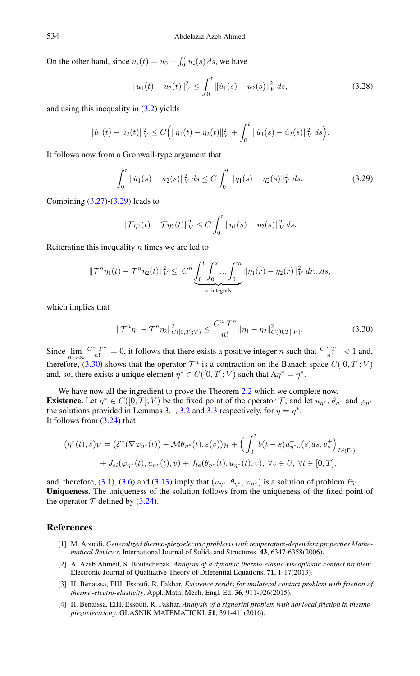On the other hand, since  $u_i(t) = u_0 + \int_0^t \dot{u}_i(s) ds$ , we have

$$
||u_1(t) - u_2(t)||_V^2 \le \int_0^t ||\dot{u}_1(s) - \dot{u}_2(s)||_V^2 ds,
$$
\n(3.28)

and using this inequality in [\(3.2\)](#page-11-2) yields

$$
\|\dot{u}_1(t)-\dot{u}_2(t)\|_V^2 \leq C\Big(\|\eta_1(t)-\eta_2(t)\|_V^2+\int_0^t \|\dot{u}_1(s)-\dot{u}_2(s)\|_V^2 ds\Big).
$$

It follows now from a Gronwall-type argument that

<span id="page-15-4"></span>
$$
\int_0^t \|\dot{u}_1(s) - \dot{u}_2(s)\|_V^2 ds \le C \int_0^t \|\eta_1(s) - \eta_2(s)\|_V^2 ds.
$$
 (3.29)

Combining [\(3.27\)](#page-14-2)-[\(3.29\)](#page-15-4) leads to

$$
\|\mathcal{T}\eta_1(t)-\mathcal{T}\eta_2(t)\|_V^2 \leq C \int_0^t \|\eta_1(s)-\eta_2(s)\|_V^2 ds.
$$

Reiterating this inequality  $n$  times we are led to

$$
\|\mathcal{T}^{n}\eta_{1}(t)-\mathcal{T}^{n}\eta_{2}(t)\|_{V}^{2} \leq C^{n} \underbrace{\int_{0}^{t} \int_{0}^{s} ... \int_{0}^{m}}_{n \text{ integrals}} \|\eta_{1}(r)-\eta_{2}(r)\|_{V}^{2} dr... ds,
$$

which implies that

<span id="page-15-5"></span>
$$
\|\mathcal{T}^n\eta_1 - \mathcal{T}^n\eta_2\|_{C([0,T];V)}^2 \le \frac{C^n T^n}{n!} \|\eta_1 - \eta_2\|_{C([0,T];V)}^2.
$$
\n(3.30)

Since  $\lim_{n\to\infty} \frac{C^n T^n}{n!} = 0$ , it follows that there exists a positive integer n such that  $\frac{C^n T^n}{n!} < 1$  and, therefore, [\(3.30\)](#page-15-5) shows that the operator  $\mathcal{T}^n$  is a contraction on the Banach space  $C([0,T];V)$ and, so, there exists a unique element  $\eta^* \in C([0, T]; V)$  such that  $\Lambda \eta^* = \eta^*$ .  $\Box$ 

We have now all the ingredient to prove the Theorem [2.2](#page-10-7) which we complete now. **Existence.** Let  $\eta^* \in C([0,T]; V)$  be the fixed point of the operator T, and let  $u_{\eta^*}, \theta_{\eta^*}$  and  $\varphi_{\eta^*}$ the solutions provided in Lemmas [3.1,](#page-10-9) [3.2](#page-11-6) and [3.3](#page-12-5) respectively, for  $\eta = \eta^*$ . It follows from [\(3.24\)](#page-14-0) that

$$
(\eta^*(t), v)_V = \left(\mathcal{E}^*(\nabla\varphi_{\eta^*}(t)) - \mathcal{M}\theta_{\eta^*}(t), \varepsilon(v)\right)_{\mathcal{H}} + \left(\int_0^t b(t-s)u_{\eta^*\nu}^+(s)ds, v_{\nu}^+\right)_{L^2(\Gamma_3)}
$$
  
+  $J_{el}(\varphi_{\eta^*}(t), u_{\eta^*}(t), v) + J_{te}(\theta_{\eta^*}(t), u_{\eta^*}(t), v), \ \forall v \in U, \ \forall t \in [0, T],$ 

and, therefore, [\(3.1\)](#page-10-8), [\(3.6\)](#page-11-3) and [\(3.13\)](#page-12-2) imply that  $(u_{\eta^*}, \theta_{\eta^*}, \varphi_{\eta^*})$  is a solution of problem  $P_V$ . Uniqueness. The uniqueness of the solution follows from the uniqueness of the fixed point of the operator  $\mathcal T$  defined by [\(3.24\)](#page-14-0).

### <span id="page-15-0"></span>References

- <span id="page-15-1"></span>[1] M. Aouadi, *Generalized thermo-piezoelectric problems with temperature-dependent properties Mathematical Reviews*. International Journal of Solids and Structures. 43, 6347-6358(2006).
- [2] A. Azeb Ahmed, S. Boutechebak, *Analysis of a dynamic thermo-elastic-viscoplastic contact problem*. Electronic Journal of Qualitative Theory of Diferential Equations. 71, 1-17(2013).
- <span id="page-15-2"></span>[3] H. Benaissa, ElH. Essoufi, R. Fakhar, *Existence results for unilateral contact problem with friction of thermo-electro-elasticity*. Appl. Math. Mech. Engl. Ed. 36, 911-926(2015).
- <span id="page-15-3"></span>[4] H. Benaissa, ElH. Essoufi, R. Fakhar, *Analysis of a signorini problem with nonlocal friction in thermopiezoelectricity*. GLASNIK MATEMATICKI. 51, 391-411(2016).